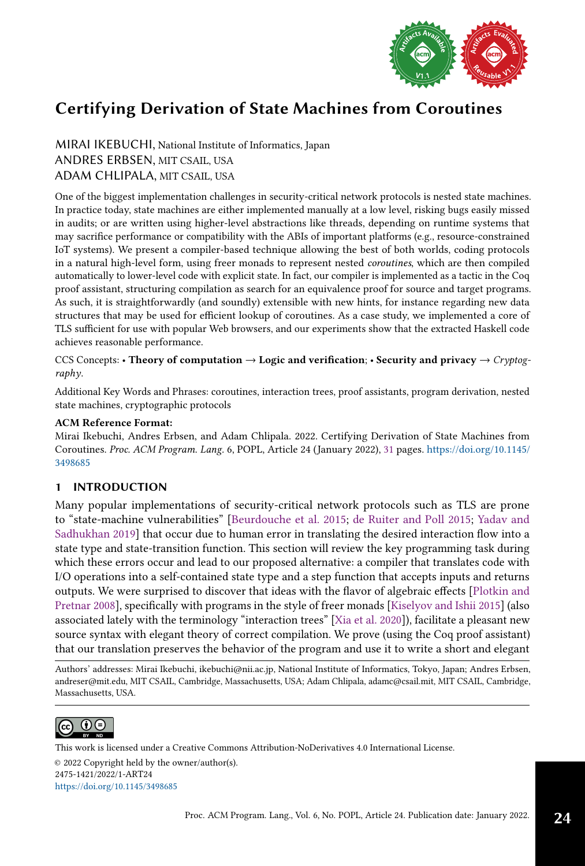

MIRAI IKEBUCHI, National Institute of Informatics, Japan ANDRES ERBSEN, MIT CSAIL, USA ADAM CHLIPALA, MIT CSAIL, USA

One of the biggest implementation challenges in security-critical network protocols is nested state machines. In practice today, state machines are either implemented manually at a low level, risking bugs easily missed in audits; or are written using higher-level abstractions like threads, depending on runtime systems that may sacrifice performance or compatibility with the ABIs of important platforms (e.g., resource-constrained IoT systems). We present a compiler-based technique allowing the best of both worlds, coding protocols in a natural high-level form, using freer monads to represent nested coroutines, which are then compiled automatically to lower-level code with explicit state. In fact, our compiler is implemented as a tactic in the Coq proof assistant, structuring compilation as search for an equivalence proof for source and target programs. As such, it is straightforwardly (and soundly) extensible with new hints, for instance regarding new data structures that may be used for efficient lookup of coroutines. As a case study, we implemented a core of TLS sufficient for use with popular Web browsers, and our experiments show that the extracted Haskell code achieves reasonable performance.

CCS Concepts: • Theory of computation  $\rightarrow$  Logic and verification; • Security and privacy  $\rightarrow$  Cryptography.

Additional Key Words and Phrases: coroutines, interaction trees, proof assistants, program derivation, nested state machines, cryptographic protocols

## ACM Reference Format:

Mirai Ikebuchi, Andres Erbsen, and Adam Chlipala. 2022. Certifying Derivation of State Machines from Coroutines. Proc. ACM Program. Lang. 6, POPL, Article 24 (January 2022), [31](#page-30-0) pages. [https://doi.org/10.1145/](https://doi.org/10.1145/3498685) [3498685](https://doi.org/10.1145/3498685)

# 1 INTRODUCTION

Many popular implementations of security-critical network protocols such as TLS are prone to "state-machine vulnerabilities" [\[Beurdouche et al.](#page-28-0) [2015;](#page-28-0) [de Ruiter and Poll 2015;](#page-28-1) [Yadav and](#page-30-1) [Sadhukhan 2019\]](#page-30-1) that occur due to human error in translating the desired interaction flow into a state type and state-transition function. This section will review the key programming task during which these errors occur and lead to our proposed alternative: a compiler that translates code with I/O operations into a self-contained state type and a step function that accepts inputs and returns outputs. We were surprised to discover that ideas with the flavor of algebraic effects [\[Plotkin and](#page-29-0) [Pretnar 2008\]](#page-29-0), specifically with programs in the style of freer monads [\[Kiselyov and Ishii 2015\]](#page-29-1) (also associated lately with the terminology "interaction trees" [\[Xia et al.](#page-30-2) [2020\]](#page-30-2)), facilitate a pleasant new source syntax with elegant theory of correct compilation. We prove (using the Coq proof assistant) that our translation preserves the behavior of the program and use it to write a short and elegant

Authors' addresses: Mirai Ikebuchi, ikebuchi@nii.ac.jp, National Institute of Informatics, Tokyo, Japan; Andres Erbsen, andreser@mit.edu, MIT CSAIL, Cambridge, Massachusetts, USA; Adam Chlipala, adamc@csail.mit, MIT CSAIL, Cambridge, Massachusetts, USA.



© 2022 Copyright held by the owner/author(s). 2475-1421/2022/1-ART24 <https://doi.org/10.1145/3498685> [This work is licensed under a Creative Commons Attribution-NoDerivatives 4.0 International License.](http://creativecommons.org/licenses/by-nd/4.0/)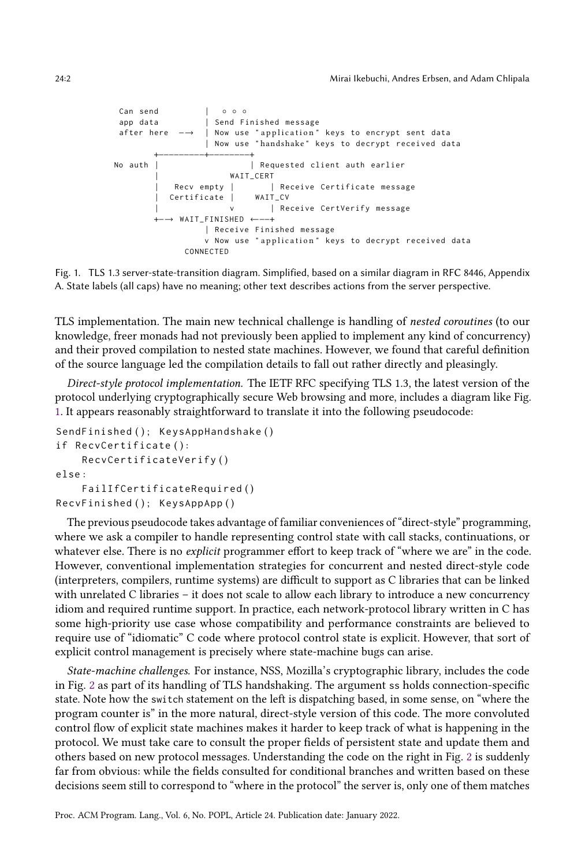<span id="page-1-0"></span>



TLS implementation. The main new technical challenge is handling of nested coroutines (to our knowledge, freer monads had not previously been applied to implement any kind of concurrency) and their proved compilation to nested state machines. However, we found that careful definition of the source language led the compilation details to fall out rather directly and pleasingly.

Direct-style protocol implementation. The IETF RFC specifying TLS 1.3, the latest version of the protocol underlying cryptographically secure Web browsing and more, includes a diagram like Fig. [1.](#page-1-0) It appears reasonably straightforward to translate it into the following pseudocode:

```
SendFinished (); KeysAppHandshake ()
if RecvCertificate ( ) :
    RecvCertificateVerify ( )
else :
    FailIfCertificateRequired ( )
RecvFinished (); KeysAppApp()
```
The previous pseudocode takes advantage of familiar conveniences of "direct-style" programming, where we ask a compiler to handle representing control state with call stacks, continuations, or whatever else. There is no *explicit* programmer effort to keep track of "where we are" in the code. However, conventional implementation strategies for concurrent and nested direct-style code (interpreters, compilers, runtime systems) are difficult to support as C libraries that can be linked with unrelated C libraries – it does not scale to allow each library to introduce a new concurrency idiom and required runtime support. In practice, each network-protocol library written in C has some high-priority use case whose compatibility and performance constraints are believed to require use of "idiomatic" C code where protocol control state is explicit. However, that sort of explicit control management is precisely where state-machine bugs can arise.

State-machine challenges. For instance, NSS, Mozilla's cryptographic library, includes the code in Fig. [2](#page-2-0) as part of its handling of TLS handshaking. The argument ss holds connection-specific state. Note how the switch statement on the left is dispatching based, in some sense, on "where the program counter isž in the more natural, direct-style version of this code. The more convoluted control flow of explicit state machines makes it harder to keep track of what is happening in the protocol. We must take care to consult the proper fields of persistent state and update them and others based on new protocol messages. Understanding the code on the right in Fig. [2](#page-2-0) is suddenly far from obvious: while the fields consulted for conditional branches and written based on these decisions seem still to correspond to "where in the protocol" the server is, only one of them matches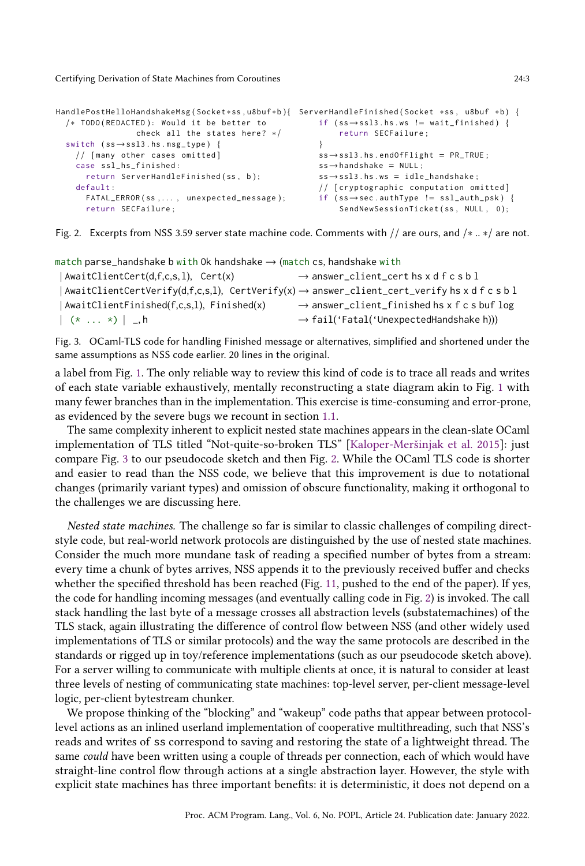```
HandlePostHelloHandshakeMsg ( Socket ∗ss , u8buf ∗b ) {
ServerHandleFinished ( Socket ∗ss , u8buf ∗b ) {
 /* TODO (REDACTED): Would it be better to
                check all the states here? */
 switch (ss→ssl3.hs.msg_type) {
   // [many other cases omitted]
   case ssl_hs_finished :
     return ServerHandleFinished (ss, b);
   default :
     FATAL_ERROR ( ss , . . . , unexpected_message ) ;
     return SECFailure ;
                                                       if (ss \rightarrow ss13.hs.ws != wait_finished) {
                                                             return SECFailure ;
                                                         }
                                                        ss \rightarrow ssl3. hs. endOfFlight = PR_TRUE;
                                                        ss \rightarrowhandshake = NULL;
                                                        ss→ssl3.hs.ws = idle_handshake;
                                                        // [ cryptographic computation omitted ]
                                                        if ( ss→sec . authType != ssl_auth_psk ) {
                                                             SendNewSessionTicket (ss, NULL, 0);
```
Fig. 2. Excerpts from NSS 3.59 server state machine code. Comments with // are ours, and /∗ .. ∗/ are not.

```
match parse_handshake b with Ok handshake \rightarrow (match cs, handshake with
 |\text{AwaitClientCert}(d, f, c, s, l)|, Cert(x) \rightarrow answer_client_cert hs x d f c s b l
 | AwaitClientCertVerify(d,f,c,s,l), CertVerify(x) \rightarrow answer_client_cert_verify hs x d f c s b l
 | AwaitClientFinished(f,c,s,l), Finished(x) \longrightarrow answer_client_finished hs x f c s buf log
 \vert \langle \ast \ldots \ast \rangle \vert \vert, h \rightarrow fail('Fatal('UnexpectedHandshake h)))
```
Fig. 3. OCaml-TLS code for handling Finished message or alternatives, simplified and shortened under the same assumptions as NSS code earlier. 20 lines in the original.

a label from Fig. [1.](#page-1-0) The only reliable way to review this kind of code is to trace all reads and writes of each state variable exhaustively, mentally reconstructing a state diagram akin to Fig. [1](#page-1-0) with many fewer branches than in the implementation. This exercise is time-consuming and error-prone, as evidenced by the severe bugs we recount in section [1.1.](#page-4-0)

The same complexity inherent to explicit nested state machines appears in the clean-slate OCaml implementation of TLS titled "Not-quite-so-broken TLS" [\[Kaloper-Meršinjak et al.](#page-29-2) [2015\]](#page-29-2): just compare Fig. [3](#page-2-1) to our pseudocode sketch and then Fig. [2.](#page-2-0) While the OCaml TLS code is shorter and easier to read than the NSS code, we believe that this improvement is due to notational changes (primarily variant types) and omission of obscure functionality, making it orthogonal to the challenges we are discussing here.

Nested state machines. The challenge so far is similar to classic challenges of compiling directstyle code, but real-world network protocols are distinguished by the use of nested state machines. Consider the much more mundane task of reading a specified number of bytes from a stream: every time a chunk of bytes arrives, NSS appends it to the previously received buffer and checks whether the specified threshold has been reached (Fig. [11,](#page-27-0) pushed to the end of the paper). If yes, the code for handling incoming messages (and eventually calling code in Fig. [2\)](#page-2-0) is invoked. The call stack handling the last byte of a message crosses all abstraction levels (substatemachines) of the TLS stack, again illustrating the difference of control flow between NSS (and other widely used implementations of TLS or similar protocols) and the way the same protocols are described in the standards or rigged up in toy/reference implementations (such as our pseudocode sketch above). For a server willing to communicate with multiple clients at once, it is natural to consider at least three levels of nesting of communicating state machines: top-level server, per-client message-level logic, per-client bytestream chunker.

We propose thinking of the "blocking" and "wakeup" code paths that appear between protocollevel actions as an inlined userland implementation of cooperative multithreading, such that NSS's reads and writes of ss correspond to saving and restoring the state of a lightweight thread. The same could have been written using a couple of threads per connection, each of which would have straight-line control flow through actions at a single abstraction layer. However, the style with explicit state machines has three important benefits: it is deterministic, it does not depend on a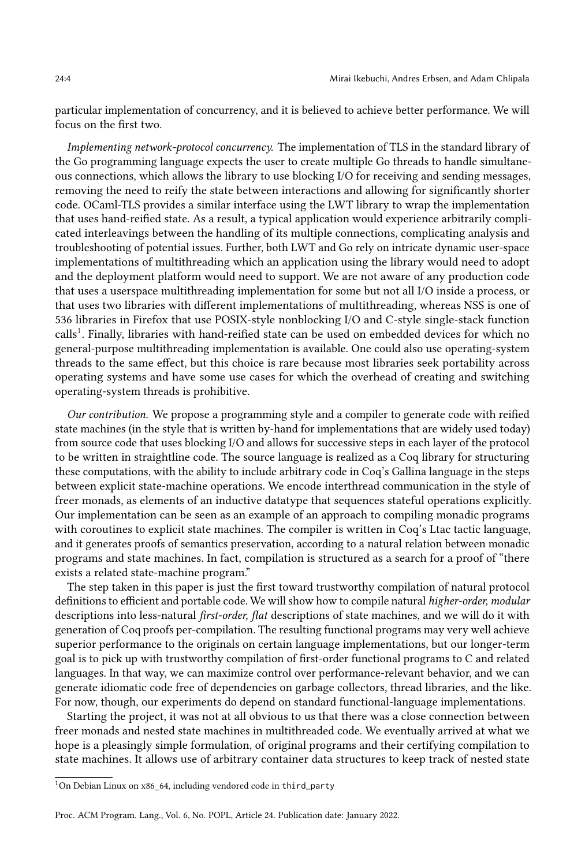particular implementation of concurrency, and it is believed to achieve better performance. We will focus on the first two.

Implementing network-protocol concurrency. The implementation of TLS in the standard library of the Go programming language expects the user to create multiple Go threads to handle simultaneous connections, which allows the library to use blocking I/O for receiving and sending messages, removing the need to reify the state between interactions and allowing for significantly shorter code. OCaml-TLS provides a similar interface using the LWT library to wrap the implementation that uses hand-reified state. As a result, a typical application would experience arbitrarily complicated interleavings between the handling of its multiple connections, complicating analysis and troubleshooting of potential issues. Further, both LWT and Go rely on intricate dynamic user-space implementations of multithreading which an application using the library would need to adopt and the deployment platform would need to support. We are not aware of any production code that uses a userspace multithreading implementation for some but not all I/O inside a process, or that uses two libraries with different implementations of multithreading, whereas NSS is one of 536 libraries in Firefox that use POSIX-style nonblocking I/O and C-style single-stack function calls<sup>[1](#page-3-0)</sup>. Finally, libraries with hand-reified state can be used on embedded devices for which no general-purpose multithreading implementation is available. One could also use operating-system threads to the same effect, but this choice is rare because most libraries seek portability across operating systems and have some use cases for which the overhead of creating and switching operating-system threads is prohibitive.

Our contribution. We propose a programming style and a compiler to generate code with reified state machines (in the style that is written by-hand for implementations that are widely used today) from source code that uses blocking I/O and allows for successive steps in each layer of the protocol to be written in straightline code. The source language is realized as a Coq library for structuring these computations, with the ability to include arbitrary code in Coq's Gallina language in the steps between explicit state-machine operations. We encode interthread communication in the style of freer monads, as elements of an inductive datatype that sequences stateful operations explicitly. Our implementation can be seen as an example of an approach to compiling monadic programs with coroutines to explicit state machines. The compiler is written in Coq's Ltac tactic language, and it generates proofs of semantics preservation, according to a natural relation between monadic programs and state machines. In fact, compilation is structured as a search for a proof of "there exists a related state-machine program."

The step taken in this paper is just the first toward trustworthy compilation of natural protocol definitions to efficient and portable code. We will show how to compile natural higher-order, modular descriptions into less-natural first-order, flat descriptions of state machines, and we will do it with generation of Coq proofs per-compilation. The resulting functional programs may very well achieve superior performance to the originals on certain language implementations, but our longer-term goal is to pick up with trustworthy compilation of first-order functional programs to C and related languages. In that way, we can maximize control over performance-relevant behavior, and we can generate idiomatic code free of dependencies on garbage collectors, thread libraries, and the like. For now, though, our experiments do depend on standard functional-language implementations.

Starting the project, it was not at all obvious to us that there was a close connection between freer monads and nested state machines in multithreaded code. We eventually arrived at what we hope is a pleasingly simple formulation, of original programs and their certifying compilation to state machines. It allows use of arbitrary container data structures to keep track of nested state

<span id="page-3-0"></span> $^1 \rm{On}$  Debian Linux on x86\_64, including vendored code in third\_party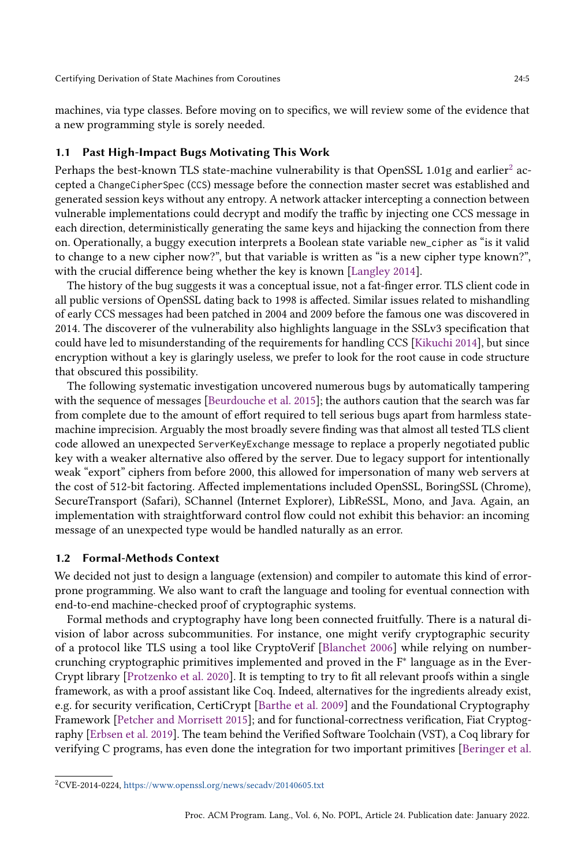machines, via type classes. Before moving on to specifics, we will review some of the evidence that a new programming style is sorely needed.

#### <span id="page-4-0"></span>Past High-Impact Bugs Motivating This Work

Perhaps the best-known TLS state-machine vulnerability is that OpenSSL 1.01g and earlier $^2$  $^2$  accepted a ChangeCipherSpec (CCS) message before the connection master secret was established and generated session keys without any entropy. A network attacker intercepting a connection between vulnerable implementations could decrypt and modify the traffic by injecting one CCS message in each direction, deterministically generating the same keys and hijacking the connection from there on. Operationally, a buggy execution interprets a Boolean state variable new\_cipher as "is it valid to change to a new cipher now?", but that variable is written as "is a new cipher type known?", with the crucial difference being whether the key is known [\[Langley 2014\]](#page-29-3).

The history of the bug suggests it was a conceptual issue, not a fat-finger error. TLS client code in all public versions of OpenSSL dating back to 1998 is affected. Similar issues related to mishandling of early CCS messages had been patched in 2004 and 2009 before the famous one was discovered in 2014. The discoverer of the vulnerability also highlights language in the SSLv3 specification that could have led to misunderstanding of the requirements for handling CCS [\[Kikuchi 2014\]](#page-29-4), but since encryption without a key is glaringly useless, we prefer to look for the root cause in code structure that obscured this possibility.

The following systematic investigation uncovered numerous bugs by automatically tampering with the sequence of messages [\[Beurdouche et al.](#page-28-0) [2015\]](#page-28-0); the authors caution that the search was far from complete due to the amount of effort required to tell serious bugs apart from harmless statemachine imprecision. Arguably the most broadly severe finding was that almost all tested TLS client code allowed an unexpected ServerKeyExchange message to replace a properly negotiated public key with a weaker alternative also offered by the server. Due to legacy support for intentionally weak "export" ciphers from before 2000, this allowed for impersonation of many web servers at the cost of 512-bit factoring. Affected implementations included OpenSSL, BoringSSL (Chrome), SecureTransport (Safari), SChannel (Internet Explorer), LibReSSL, Mono, and Java. Again, an implementation with straightforward control flow could not exhibit this behavior: an incoming message of an unexpected type would be handled naturally as an error.

## 1.2 Formal-Methods Context

We decided not just to design a language (extension) and compiler to automate this kind of errorprone programming. We also want to craft the language and tooling for eventual connection with end-to-end machine-checked proof of cryptographic systems.

Formal methods and cryptography have long been connected fruitfully. There is a natural division of labor across subcommunities. For instance, one might verify cryptographic security of a protocol like TLS using a tool like CryptoVerif [\[Blanchet 2006\]](#page-28-2) while relying on numbercrunching cryptographic primitives implemented and proved in the F<sup>∗</sup> language as in the Ever-Crypt library [\[Protzenko et al.](#page-29-5) [2020\]](#page-29-5). It is tempting to try to fit all relevant proofs within a single framework, as with a proof assistant like Coq. Indeed, alternatives for the ingredients already exist, e.g. for security verification, CertiCrypt [\[Barthe et al.](#page-28-3) [2009\]](#page-28-3) and the Foundational Cryptography Framework [\[Petcher and Morrisett 2015\]](#page-29-6); and for functional-correctness verification, Fiat Cryptography [\[Erbsen et al.](#page-29-7) [2019\]](#page-29-7). The team behind the Verified Software Toolchain (VST), a Coq library for verifying C programs, has even done the integration for two important primitives [\[Beringer et al.](#page-28-4)

<span id="page-4-1"></span><sup>2</sup>CVE-2014-0224, <https://www.openssl.org/news/secadv/20140605.txt>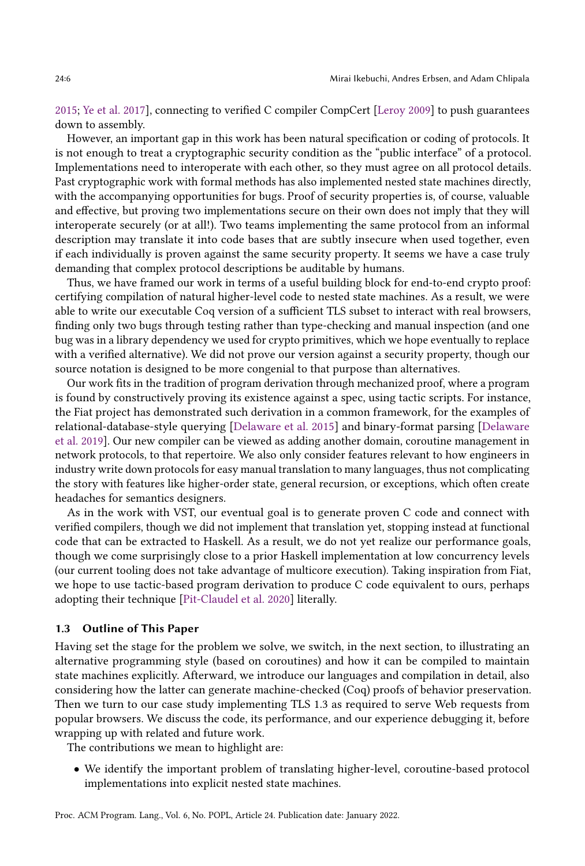[2015;](#page-28-4) [Ye et al.](#page-30-3) [2017\]](#page-30-3), connecting to verified C compiler CompCert [\[Leroy 2009\]](#page-29-8) to push guarantees down to assembly.

However, an important gap in this work has been natural specification or coding of protocols. It is not enough to treat a cryptographic security condition as the "public interface" of a protocol. Implementations need to interoperate with each other, so they must agree on all protocol details. Past cryptographic work with formal methods has also implemented nested state machines directly, with the accompanying opportunities for bugs. Proof of security properties is, of course, valuable and effective, but proving two implementations secure on their own does not imply that they will interoperate securely (or at all!). Two teams implementing the same protocol from an informal description may translate it into code bases that are subtly insecure when used together, even if each individually is proven against the same security property. It seems we have a case truly demanding that complex protocol descriptions be auditable by humans.

Thus, we have framed our work in terms of a useful building block for end-to-end crypto proof: certifying compilation of natural higher-level code to nested state machines. As a result, we were able to write our executable Coq version of a sufficient TLS subset to interact with real browsers, finding only two bugs through testing rather than type-checking and manual inspection (and one bug was in a library dependency we used for crypto primitives, which we hope eventually to replace with a verified alternative). We did not prove our version against a security property, though our source notation is designed to be more congenial to that purpose than alternatives.

Our work fits in the tradition of program derivation through mechanized proof, where a program is found by constructively proving its existence against a spec, using tactic scripts. For instance, the Fiat project has demonstrated such derivation in a common framework, for the examples of relational-database-style querying [\[Delaware et al.](#page-28-5) [2015\]](#page-28-5) and binary-format parsing [\[Delaware](#page-28-6) [et al.](#page-28-6) [2019\]](#page-28-6). Our new compiler can be viewed as adding another domain, coroutine management in network protocols, to that repertoire. We also only consider features relevant to how engineers in industry write down protocols for easy manual translation to many languages, thus not complicating the story with features like higher-order state, general recursion, or exceptions, which often create headaches for semantics designers.

As in the work with VST, our eventual goal is to generate proven C code and connect with verified compilers, though we did not implement that translation yet, stopping instead at functional code that can be extracted to Haskell. As a result, we do not yet realize our performance goals, though we come surprisingly close to a prior Haskell implementation at low concurrency levels (our current tooling does not take advantage of multicore execution). Taking inspiration from Fiat, we hope to use tactic-based program derivation to produce C code equivalent to ours, perhaps adopting their technique [\[Pit-Claudel et al. 2020\]](#page-29-9) literally.

#### 1.3 Outline of This Paper

Having set the stage for the problem we solve, we switch, in the next section, to illustrating an alternative programming style (based on coroutines) and how it can be compiled to maintain state machines explicitly. Afterward, we introduce our languages and compilation in detail, also considering how the latter can generate machine-checked (Coq) proofs of behavior preservation. Then we turn to our case study implementing TLS 1.3 as required to serve Web requests from popular browsers. We discuss the code, its performance, and our experience debugging it, before wrapping up with related and future work.

The contributions we mean to highlight are:

• We identify the important problem of translating higher-level, coroutine-based protocol implementations into explicit nested state machines.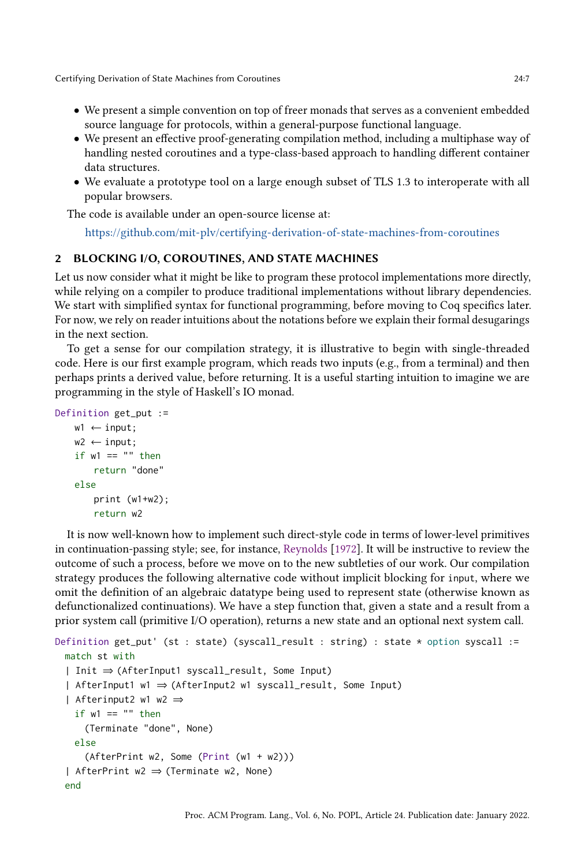- We present a simple convention on top of freer monads that serves as a convenient embedded source language for protocols, within a general-purpose functional language.
- We present an effective proof-generating compilation method, including a multiphase way of handling nested coroutines and a type-class-based approach to handling different container data structures.
- We evaluate a prototype tool on a large enough subset of TLS 1.3 to interoperate with all popular browsers.

The code is available under an open-source license at:

<https://github.com/mit-plv/certifying-derivation-of-state-machines-from-coroutines>

## <span id="page-6-0"></span>2 BLOCKING I/O, COROUTINES, AND STATE MACHINES

Let us now consider what it might be like to program these protocol implementations more directly, while relying on a compiler to produce traditional implementations without library dependencies. We start with simplified syntax for functional programming, before moving to Coq specifics later. For now, we rely on reader intuitions about the notations before we explain their formal desugarings in the next section.

To get a sense for our compilation strategy, it is illustrative to begin with single-threaded code. Here is our first example program, which reads two inputs (e.g., from a terminal) and then perhaps prints a derived value, before returning. It is a useful starting intuition to imagine we are programming in the style of Haskell's IO monad.

```
Definition get_put :=
    w1 \leftarrow input;w2 \leftarrow input;
    if w1 == "" then
        return "done"
    else
        print (w1+w2);
        return w2
```
It is now well-known how to implement such direct-style code in terms of lower-level primitives in continuation-passing style; see, for instance, [Reynolds](#page-29-10) [\[1972\]](#page-29-10). It will be instructive to review the outcome of such a process, before we move on to the new subtleties of our work. Our compilation strategy produces the following alternative code without implicit blocking for input, where we omit the definition of an algebraic datatype being used to represent state (otherwise known as defunctionalized continuations). We have a step function that, given a state and a result from a prior system call (primitive I/O operation), returns a new state and an optional next system call.

```
Definition get_put' (st : state) (syscall_result : string) : state * option syscall :=
 match st with
  | Init ⇒ (AfterInput1 syscall_result, Some Input)
  | AfterInput1 w1 ⇒ (AfterInput2 w1 syscall_result, Some Input)
  | Afterinput2 w1 w2 ⇒
   if w1 == "" then
     (Terminate "done", None)
   else
     (AfterPrint w2, Some (Print (w1 + w2)))
  | AfterPrint w2 ⇒ (Terminate w2, None)
 end
```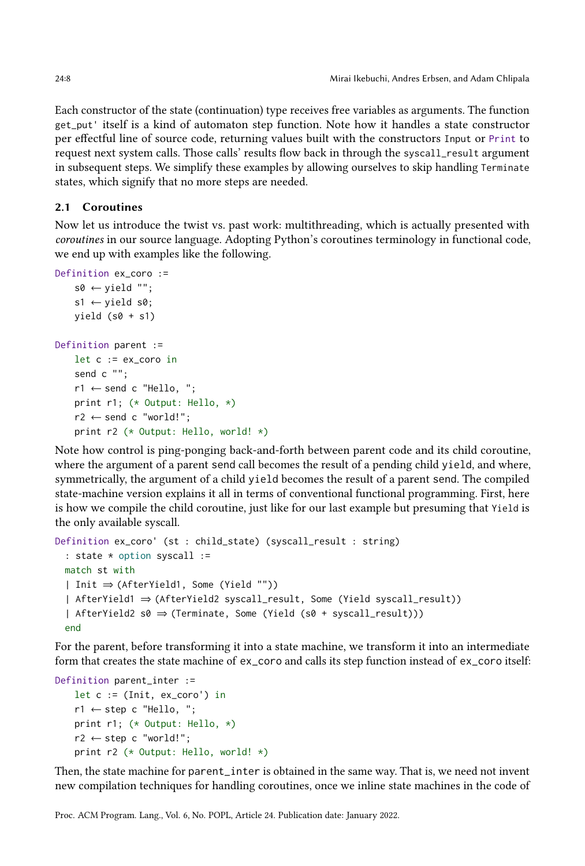Each constructor of the state (continuation) type receives free variables as arguments. The function get\_put' itself is a kind of automaton step function. Note how it handles a state constructor per effectful line of source code, returning values built with the constructors Input or Print to request next system calls. Those calls' results flow back in through the syscall\_result argument in subsequent steps. We simplify these examples by allowing ourselves to skip handling Terminate states, which signify that no more steps are needed.

## 2.1 Coroutines

Now let us introduce the twist vs. past work: multithreading, which is actually presented with coroutines in our source language. Adopting Python's coroutines terminology in functional code, we end up with examples like the following.

```
Definition ex_coro :=
    s0 \leftarrow yield "";
    s1 \leftarrow yield s0;
    yield (s0 + s1)Definition parent :=
    let c := ex_coro in
    send c "";
    r1 \leftarrow send c "Hello, ";
    print r1; (* Output: Hello, *)
    r2 \leftarrow send c "world!";
    print r2 (* Output: Hello, world! *)
```
Note how control is ping-ponging back-and-forth between parent code and its child coroutine, where the argument of a parent send call becomes the result of a pending child yield, and where, symmetrically, the argument of a child yield becomes the result of a parent send. The compiled state-machine version explains it all in terms of conventional functional programming. First, here is how we compile the child coroutine, just like for our last example but presuming that Yield is the only available syscall.

```
Definition ex_coro' (st : child_state) (syscall_result : string)
  : state * option syscall :=
 match st with
  | Init ⇒ (AfterYield1, Some (Yield ""))
  | AfterYield1 ⇒ (AfterYield2 syscall_result, Some (Yield syscall_result))
  | AfterYield2 s0 ⇒ (Terminate, Some (Yield (s0 + syscall_result)))
 end
```
For the parent, before transforming it into a state machine, we transform it into an intermediate form that creates the state machine of ex\_coro and calls its step function instead of ex\_coro itself:

```
Definition parent_inter :=
    let c := (Init, ex_coro') in
    r1 \leftarrow step c "Hello, ";
    print r1; (* Output: Hello, *)
    r2 \leftarrow step \ c "world!";
    print r2 (* Output: Hello, world! *)
```
Then, the state machine for parent\_inter is obtained in the same way. That is, we need not invent new compilation techniques for handling coroutines, once we inline state machines in the code of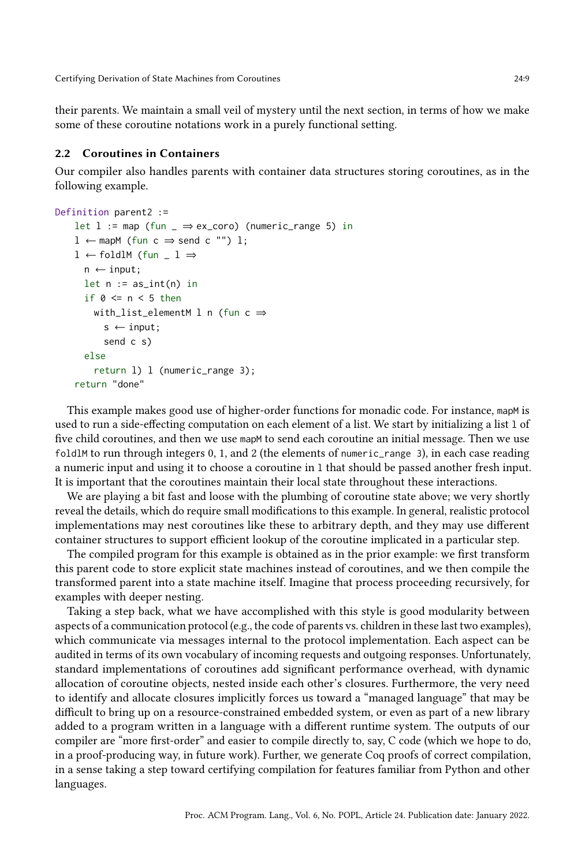their parents. We maintain a small veil of mystery until the next section, in terms of how we make some of these coroutine notations work in a purely functional setting.

## 2.2 Coroutines in Containers

Our compiler also handles parents with container data structures storing coroutines, as in the following example.

```
Definition parent2 :=
    let l := map (fun \Rightarrow ex_coro) (numeric_range 5) in
    l ← mapM (fun c ⇒ send c "") l;
    1 \leftarrow foldlM (fun _1 \Rightarrown \leftarrow input;let n := as\_int(n) in
      if \theta \le n \le 5 then
        with_list_elementM l n (fun c \Rightarrows \leftarrow input;
           send c s)
      else
        return l) l (numeric_range 3);
    return "done"
```
This example makes good use of higher-order functions for monadic code. For instance, mapM is used to run a side-effecting computation on each element of a list. We start by initializing a list l of five child coroutines, and then we use mapM to send each coroutine an initial message. Then we use foldlM to run through integers 0, 1, and 2 (the elements of numeric\_range 3), in each case reading a numeric input and using it to choose a coroutine in l that should be passed another fresh input. It is important that the coroutines maintain their local state throughout these interactions.

We are playing a bit fast and loose with the plumbing of coroutine state above; we very shortly reveal the details, which do require small modifications to this example. In general, realistic protocol implementations may nest coroutines like these to arbitrary depth, and they may use different container structures to support efficient lookup of the coroutine implicated in a particular step.

The compiled program for this example is obtained as in the prior example: we first transform this parent code to store explicit state machines instead of coroutines, and we then compile the transformed parent into a state machine itself. Imagine that process proceeding recursively, for examples with deeper nesting.

Taking a step back, what we have accomplished with this style is good modularity between aspects of a communication protocol (e.g., the code of parents vs. children in these last two examples), which communicate via messages internal to the protocol implementation. Each aspect can be audited in terms of its own vocabulary of incoming requests and outgoing responses. Unfortunately, standard implementations of coroutines add significant performance overhead, with dynamic allocation of coroutine objects, nested inside each other's closures. Furthermore, the very need to identify and allocate closures implicitly forces us toward a "managed language" that may be difficult to bring up on a resource-constrained embedded system, or even as part of a new library added to a program written in a language with a different runtime system. The outputs of our compiler are "more first-order" and easier to compile directly to, say, C code (which we hope to do, in a proof-producing way, in future work). Further, we generate Coq proofs of correct compilation, in a sense taking a step toward certifying compilation for features familiar from Python and other languages.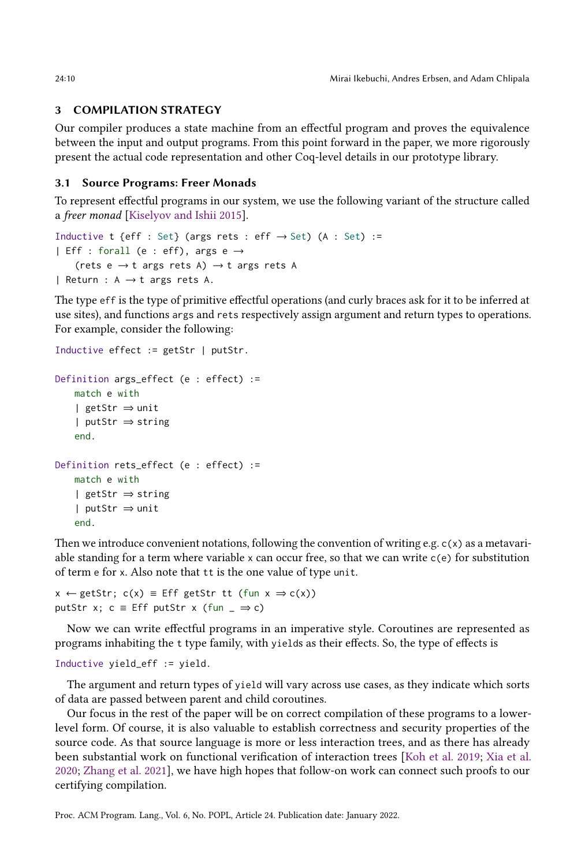# 3 COMPILATION STRATEGY

Our compiler produces a state machine from an effectful program and proves the equivalence between the input and output programs. From this point forward in the paper, we more rigorously present the actual code representation and other Coq-level details in our prototype library.

## 3.1 Source Programs: Freer Monads

To represent effectful programs in our system, we use the following variant of the structure called a freer monad [\[Kiselyov and Ishii 2015\]](#page-29-1).

```
Inductive t {eff : Set} (args rets : eff \rightarrow Set) (A : Set) :=
| Eff : forall (e : eff), args e \rightarrow(rets e \rightarrow t args rets A) \rightarrow t args rets A
| Return : A \rightarrow t args rets A.
```
The type eff is the type of primitive effectful operations (and curly braces ask for it to be inferred at use sites), and functions args and rets respectively assign argument and return types to operations. For example, consider the following:

```
Inductive effect := getStr | putStr.
Definition args_effect (e : effect) :=
   match e with
   | getStr ⇒ unit
   | putStr ⇒ string
   end.
Definition rets_effect (e : effect) :=
   match e with
   | getStr ⇒ string
   | putStr ⇒ unit
   end.
```
Then we introduce convenient notations, following the convention of writing e.g.  $c(x)$  as a metavariable standing for a term where variable x can occur free, so that we can write  $c(e)$  for substitution of term e for x. Also note that tt is the one value of type unit.

```
x \leftarrow getStr; c(x) \equiv Eff getStr tt (fun x \Rightarrow c(x))
putStr x; c = Eff putStr x (fun = \Rightarrow c)
```
Now we can write effectful programs in an imperative style. Coroutines are represented as programs inhabiting the t type family, with yields as their effects. So, the type of effects is

```
Inductive yield_eff := yield.
```
The argument and return types of yield will vary across use cases, as they indicate which sorts of data are passed between parent and child coroutines.

Our focus in the rest of the paper will be on correct compilation of these programs to a lowerlevel form. Of course, it is also valuable to establish correctness and security properties of the source code. As that source language is more or less interaction trees, and as there has already been substantial work on functional verification of interaction trees [\[Koh et al.](#page-29-11) [2019;](#page-29-11) [Xia et al.](#page-30-2) [2020;](#page-30-2) [Zhang et al.](#page-30-4) [2021\]](#page-30-4), we have high hopes that follow-on work can connect such proofs to our certifying compilation.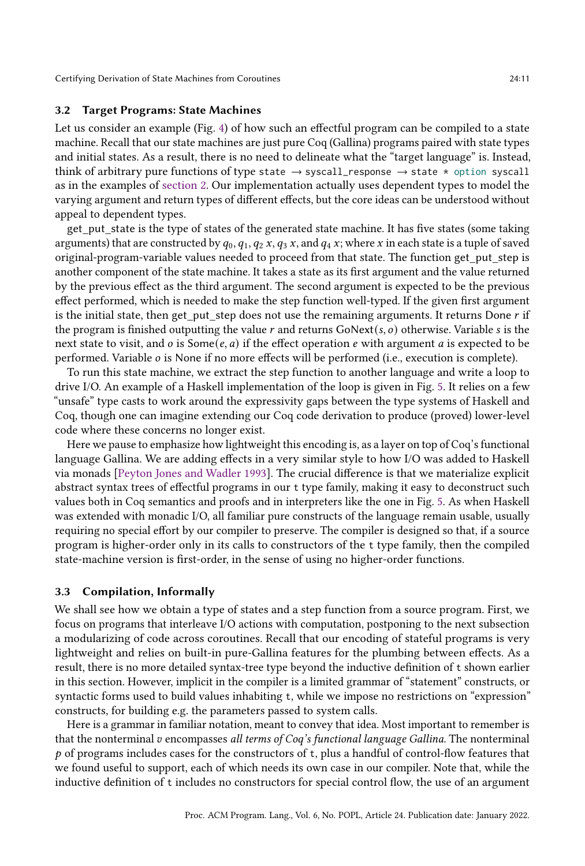# 3.2 Target Programs: State Machines

Let us consider an example (Fig. [4\)](#page-11-0) of how such an effectful program can be compiled to a state machine. Recall that our state machines are just pure Coq (Gallina) programs paired with state types and initial states. As a result, there is no need to delineate what the "target language" is. Instead, think of arbitrary pure functions of type state  $\rightarrow$  syscall\_response  $\rightarrow$  state  $*$  option syscall as in the examples of [section 2.](#page-6-0) Our implementation actually uses dependent types to model the varying argument and return types of different effects, but the core ideas can be understood without appeal to dependent types.

get\_put\_state is the type of states of the generated state machine. It has five states (some taking arguments) that are constructed by  $q_0$ ,  $q_1$ ,  $q_2$  x,  $q_3$  x, and  $q_4$  x; where x in each state is a tuple of saved original-program-variable values needed to proceed from that state. The function get\_put\_step is another component of the state machine. It takes a state as its first argument and the value returned by the previous effect as the third argument. The second argument is expected to be the previous effect performed, which is needed to make the step function well-typed. If the given first argument is the initial state, then get put step does not use the remaining arguments. It returns Done  $r$  if the program is finished outputting the value  $r$  and returns GoNext( $s$ ,  $o$ ) otherwise. Variable  $s$  is the next state to visit, and  $o$  is Some $(e, a)$  if the effect operation  $e$  with argument  $a$  is expected to be performed. Variable  $o$  is None if no more effects will be performed (i.e., execution is complete).

To run this state machine, we extract the step function to another language and write a loop to drive I/O. An example of a Haskell implementation of the loop is given in Fig. [5.](#page-11-1) It relies on a few "unsafe" type casts to work around the expressivity gaps between the type systems of Haskell and Coq, though one can imagine extending our Coq code derivation to produce (proved) lower-level code where these concerns no longer exist.

Here we pause to emphasize how lightweight this encoding is, as a layer on top of Coq's functional language Gallina. We are adding effects in a very similar style to how I/O was added to Haskell via monads [\[Peyton Jones and Wadler 1993\]](#page-29-12). The crucial difference is that we materialize explicit abstract syntax trees of effectful programs in our t type family, making it easy to deconstruct such values both in Coq semantics and proofs and in interpreters like the one in Fig. [5.](#page-11-1) As when Haskell was extended with monadic I/O, all familiar pure constructs of the language remain usable, usually requiring no special effort by our compiler to preserve. The compiler is designed so that, if a source program is higher-order only in its calls to constructors of the t type family, then the compiled state-machine version is first-order, in the sense of using no higher-order functions.

#### 3.3 Compilation, Informally

We shall see how we obtain a type of states and a step function from a source program. First, we focus on programs that interleave I/O actions with computation, postponing to the next subsection a modularizing of code across coroutines. Recall that our encoding of stateful programs is very lightweight and relies on built-in pure-Gallina features for the plumbing between effects. As a result, there is no more detailed syntax-tree type beyond the inductive definition of t shown earlier in this section. However, implicit in the compiler is a limited grammar of "statement" constructs, or syntactic forms used to build values inhabiting t, while we impose no restrictions on "expression" constructs, for building e.g. the parameters passed to system calls.

Here is a grammar in familiar notation, meant to convey that idea. Most important to remember is that the nonterminal  $v$  encompasses all terms of Coq's functional language Gallina. The nonterminal  $p$  of programs includes cases for the constructors of t, plus a handful of control-flow features that we found useful to support, each of which needs its own case in our compiler. Note that, while the inductive definition of t includes no constructors for special control flow, the use of an argument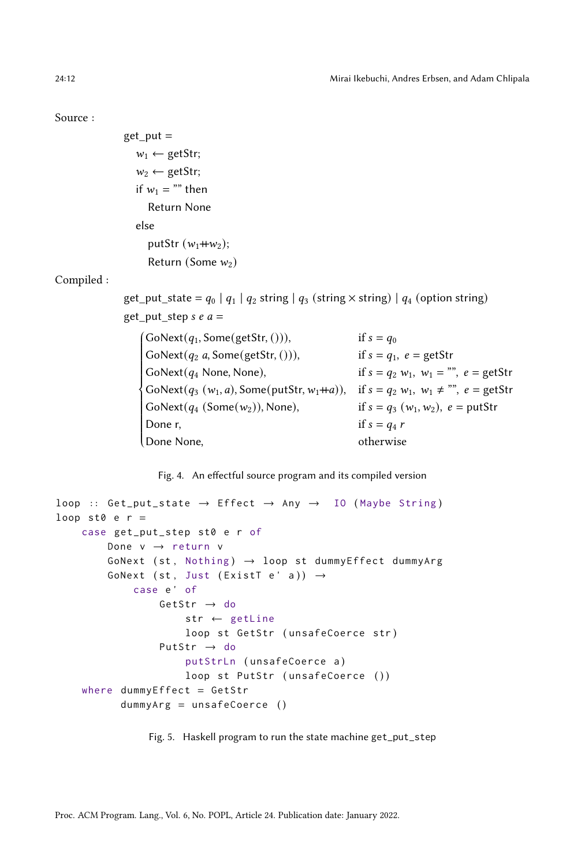#### <span id="page-11-0"></span>Source :

```
get put =w_1 \leftarrow \text{getStr};w_2 \leftarrow \text{getStr};if w_1 ="" then
      Return None
   else
      putStr (w_1 + w_2);Return (Some w_2)
```
#### Compiled :

get\_put\_state =  $q_0 | q_1 | q_2$  string  $| q_3$  (string  $\times$  string)  $| q_4$  (option string) get put step  $s e a =$ 

| $\int$ GoNext $(q_1,$ Some $(g$ etStr, $($ i $)),$                            | if $s = q_0$                                            |
|-------------------------------------------------------------------------------|---------------------------------------------------------|
| $\big\{Gokext(q_2 a, Some(getStr, 0)),\big\}$                                 | if $s = q_1$ , $e = getStr$                             |
| $\big\vert$ GoNext $(q_4$ None, None),                                        | if $s = q_2 w_1$ , $w_1 = \dots, e = \text{getStr}$     |
| $\{Gokext(q_3 (w_1, a), Some(putStr, w_1+a)),\}$                              | if $s = q_2 w_1, w_1 \neq \cdots$ , $e = \text{getStr}$ |
| $\big\{ \text{GoNext}(q_4 \text{ (Some}(w_2)), \text{None}), \text{ } \big\}$ | if $s = q_3 (w_1, w_2)$ , $e = \text{putStr}$           |
| Done r,                                                                       | if $s = q_4 r$                                          |
| Done None,                                                                    | otherwise                                               |
|                                                                               |                                                         |

Fig. 4. An effectful source program and its compiled version

```
loop :: Get_put\_state \rightarrow Effect \rightarrow Any \rightarrow IO (Maybe String)loop st0 e r =case get_put_step st0 e r of
        Done v → return v
        GoNext (st, Nothing) \rightarrow loop st dummyEffect dummyArg
        GoNext (st, Just (ExistT e' a)) \rightarrowcase e' of
                 GetStr \rightarrow do
                      str ← getLine
                      loop st GetStr (unsafeCoerce str)
                  PutStr → do
                      putStrLn ( unsafeCoerce a )
                      loop st PutStr (unsafeCoerce ())
    where dummyEffect = GetStr
           dummyArg = unsafeCoerce ()
```
Fig. 5. Haskell program to run the state machine get\_put\_step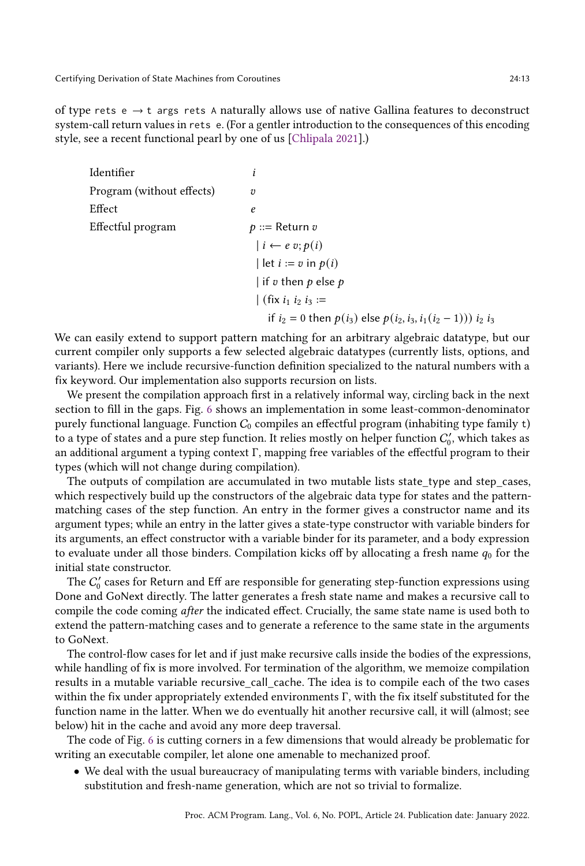of type rets  $e \rightarrow t$  args rets A naturally allows use of native Gallina features to deconstruct system-call return values in rets e. (For a gentler introduction to the consequences of this encoding style, see a recent functional pearl by one of us [\[Chlipala 2021\]](#page-28-7).)

Identifier Program (without effects)  $v$ Effect experiences and the set of the set of the set of the set of the set of the set of the set of the set of the set of the set of the set of the set of the set of the set of the set of the set of the set of the set of t Effectful program  $p ::=$  Return  $v$  $|i \leftarrow e v; p(i)$  $\vert \text{ let } i := v \text{ in } p(i)$ | if  $v$  then  $p$  else  $p$ | (fix  $i_1 i_2 i_3 :=$ if  $i_2 = 0$  then  $p(i_3)$  else  $p(i_2, i_3, i_1(i_2 - 1))$ )  $i_2 i_3$ 

We can easily extend to support pattern matching for an arbitrary algebraic datatype, but our current compiler only supports a few selected algebraic datatypes (currently lists, options, and variants). Here we include recursive-function definition specialized to the natural numbers with a fix keyword. Our implementation also supports recursion on lists.

We present the compilation approach first in a relatively informal way, circling back in the next section to fill in the gaps. Fig. [6](#page-13-0) shows an implementation in some least-common-denominator purely functional language. Function  $C_0$  compiles an effectful program (inhabiting type family t) to a type of states and a pure step function. It relies mostly on helper function  $C'_0$ , which takes as an additional argument a typing context Γ, mapping free variables of the effectful program to their types (which will not change during compilation).

The outputs of compilation are accumulated in two mutable lists state type and step cases, which respectively build up the constructors of the algebraic data type for states and the patternmatching cases of the step function. An entry in the former gives a constructor name and its argument types; while an entry in the latter gives a state-type constructor with variable binders for its arguments, an effect constructor with a variable binder for its parameter, and a body expression to evaluate under all those binders. Compilation kicks off by allocating a fresh name  $q_0$  for the initial state constructor.

The  $C_0^\prime$  cases for Return and Eff are responsible for generating step-function expressions using Done and GoNext directly. The latter generates a fresh state name and makes a recursive call to compile the code coming after the indicated effect. Crucially, the same state name is used both to extend the pattern-matching cases and to generate a reference to the same state in the arguments to GoNext.

The control-flow cases for let and if just make recursive calls inside the bodies of the expressions, while handling of fix is more involved. For termination of the algorithm, we memoize compilation results in a mutable variable recursive\_call\_cache. The idea is to compile each of the two cases within the fix under appropriately extended environments Γ, with the fix itself substituted for the function name in the latter. When we do eventually hit another recursive call, it will (almost; see below) hit in the cache and avoid any more deep traversal.

The code of Fig. [6](#page-13-0) is cutting corners in a few dimensions that would already be problematic for writing an executable compiler, let alone one amenable to mechanized proof.

• We deal with the usual bureaucracy of manipulating terms with variable binders, including substitution and fresh-name generation, which are not so trivial to formalize.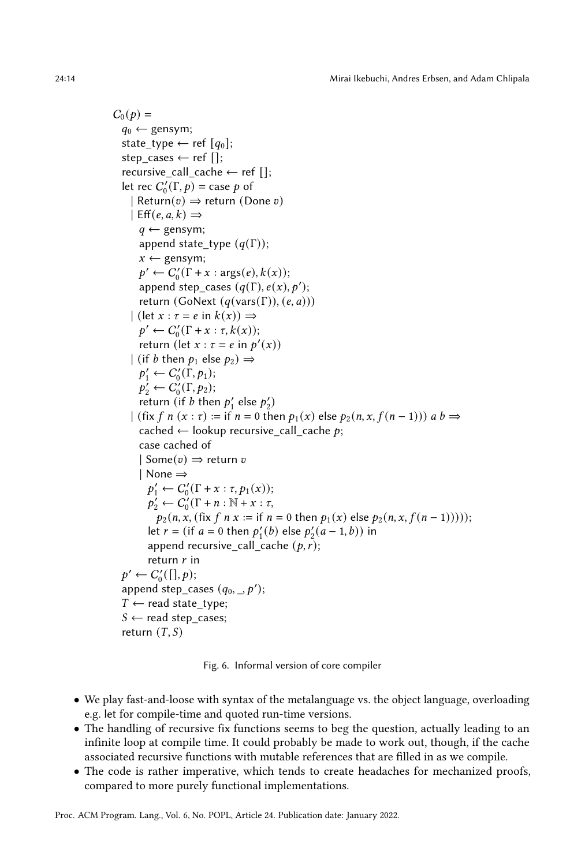$C_0(p) =$  $q_0 \leftarrow$  gensym; state\_type ← ref  $[q_0]$ ; step cases  $\leftarrow$  ref  $[]$ ; recursive\_call\_cache  $\leftarrow$  ref []; let rec  $C'_0(\Gamma, p) = \text{case } p$  of | Return $(v) \Rightarrow$  return (Done v)  $\vert$  Eff $(e, a, k) \Rightarrow$  $q \leftarrow$  gensym; append state\_type  $(q(\Gamma));$  $x \leftarrow$  gensym;  $p' \leftarrow C'_0(\Gamma + x : \arg(s(e), k(x));$ append step\_cases  $(q(\Gamma), e(x), p')$ ; return (GoNext  $(q(\text{vars}(\Gamma)), (e, a)))$  $|$  (let  $x : \tau = e$  in  $k(x)$ )  $\Rightarrow$  $p' \leftarrow C'_0(\Gamma + x : \tau, k(x));$ return (let  $x : \tau = e$  in  $p'(x)$ ) | (if *b* then  $p_1$  else  $p_2$ )  $\Rightarrow$  $p'_1 \leftarrow C'_0(\Gamma, p_1);$  $p'_2 \leftarrow C'_0(\Gamma, p_2);$ return (if  $b$  then  $p'_1$  else  $p'_2$ )  $\vert$  (fix f n (x :  $\tau$ ) := if  $n = 0$  then  $p_1(x)$  else  $p_2(n, x, f(n-1))$ ) a  $b \Rightarrow$ cached  $\leftarrow$  lookup recursive\_call\_cache p; case cached of  $|$  Some $(v) \Rightarrow$  return v | None ⇒  $p'_1 \leftarrow C'_0(\Gamma + x : \tau, p_1(x));$  $p'_2 \leftarrow C'_0(\Gamma + n : \mathbb{N} + x : \tau,$  $p_2(n, x, (\text{fix } f \text{ n } x := \text{if } n = 0 \text{ then } p_1(x) \text{ else } p_2(n, x, f(n-1)))));$ let  $r = ($ if  $a = 0$  then  $p'_1(b)$  else  $p'_2(a-1, b)$ ) in append recursive\_call\_cache  $(p, r)$ ; return  $r$  in  $p' \leftarrow C'_0([], p);$ append step\_cases  $(q_0, \_, p')$ ;  $T$  ← read state\_type;  $S \leftarrow$  read step cases; return  $(T, S)$ 

Fig. 6. Informal version of core compiler

- We play fast-and-loose with syntax of the metalanguage vs. the object language, overloading e.g. let for compile-time and quoted run-time versions.
- The handling of recursive fix functions seems to beg the question, actually leading to an infinite loop at compile time. It could probably be made to work out, though, if the cache associated recursive functions with mutable references that are filled in as we compile.
- The code is rather imperative, which tends to create headaches for mechanized proofs, compared to more purely functional implementations.

Proc. ACM Program. Lang., Vol. 6, No. POPL, Article 24. Publication date: January 2022.

<span id="page-13-0"></span>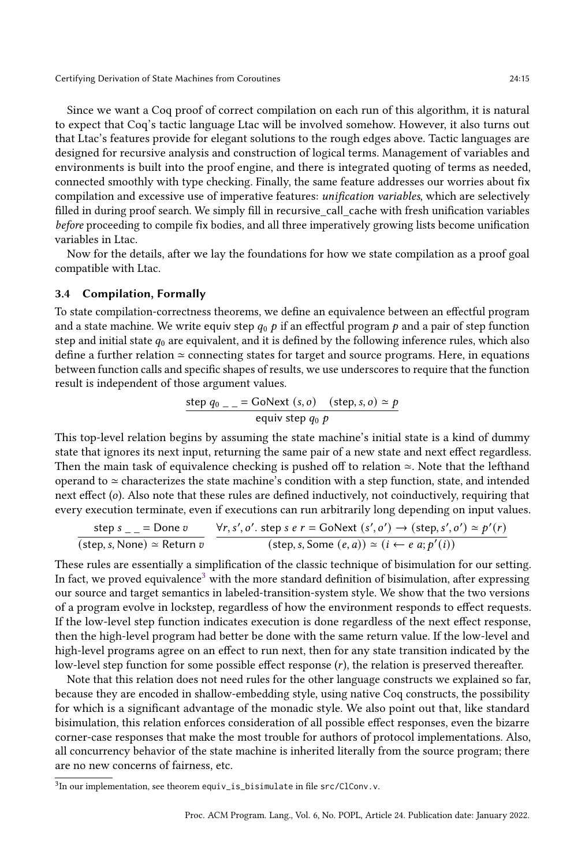Since we want a Coq proof of correct compilation on each run of this algorithm, it is natural to expect that Coq's tactic language Ltac will be involved somehow. However, it also turns out that Ltac's features provide for elegant solutions to the rough edges above. Tactic languages are designed for recursive analysis and construction of logical terms. Management of variables and environments is built into the proof engine, and there is integrated quoting of terms as needed, connected smoothly with type checking. Finally, the same feature addresses our worries about fix compilation and excessive use of imperative features: unification variables, which are selectively filled in during proof search. We simply fill in recursive\_call\_cache with fresh unification variables before proceeding to compile fix bodies, and all three imperatively growing lists become unification variables in Ltac.

Now for the details, after we lay the foundations for how we state compilation as a proof goal compatible with Ltac.

## 3.4 Compilation, Formally

To state compilation-correctness theorems, we define an equivalence between an effectful program and a state machine. We write equiv step  $q_0$   $p$  if an effectful program  $p$  and a pair of step function step and initial state  $q_0$  are equivalent, and it is defined by the following inference rules, which also define a further relation ≃ connecting states for target and source programs. Here, in equations between function calls and specific shapes of results, we use underscores to require that the function result is independent of those argument values.

$$
\frac{\text{step }q_0 \_ = \text{GoNext }(s, o) \quad (\text{step}, s, o) \simeq p}{\text{equiv step }q_0 p}
$$

This top-level relation begins by assuming the state machine's initial state is a kind of dummy state that ignores its next input, returning the same pair of a new state and next effect regardless. Then the main task of equivalence checking is pushed off to relation ≃. Note that the lefthand operand to ≃ characterizes the state machine's condition with a step function, state, and intended next effect (o). Also note that these rules are defined inductively, not coinductively, requiring that every execution terminate, even if executions can run arbitrarily long depending on input values.

$$
\frac{\text{step } s \_\_\_\_\text{inter} = \text{Done } v}{(\text{step}, s, \text{None}) \simeq \text{Return } v} \quad \frac{\forall r, s', o'. \text{ step } s \ e \ r = \text{GoNext } (s', o') \to (\text{step}, s', o') \simeq p'(r)}{(\text{step}, s, \text{Some } (e, a)) \simeq (i \leftarrow e a; p'(i))}
$$

These rules are essentially a simplification of the classic technique of bisimulation for our setting. In fact, we proved equivalence<sup>[3](#page-14-0)</sup> with the more standard definition of bisimulation, after expressing our source and target semantics in labeled-transition-system style. We show that the two versions of a program evolve in lockstep, regardless of how the environment responds to effect requests. If the low-level step function indicates execution is done regardless of the next effect response, then the high-level program had better be done with the same return value. If the low-level and high-level programs agree on an effect to run next, then for any state transition indicated by the low-level step function for some possible effect response  $(r)$ , the relation is preserved thereafter.

Note that this relation does not need rules for the other language constructs we explained so far, because they are encoded in shallow-embedding style, using native Coq constructs, the possibility for which is a significant advantage of the monadic style. We also point out that, like standard bisimulation, this relation enforces consideration of all possible effect responses, even the bizarre corner-case responses that make the most trouble for authors of protocol implementations. Also, all concurrency behavior of the state machine is inherited literally from the source program; there are no new concerns of fairness, etc.

<span id="page-14-0"></span> $^{3}$ In our implementation, see theorem equiv\_is\_bisimulate in file src/ClConv.v.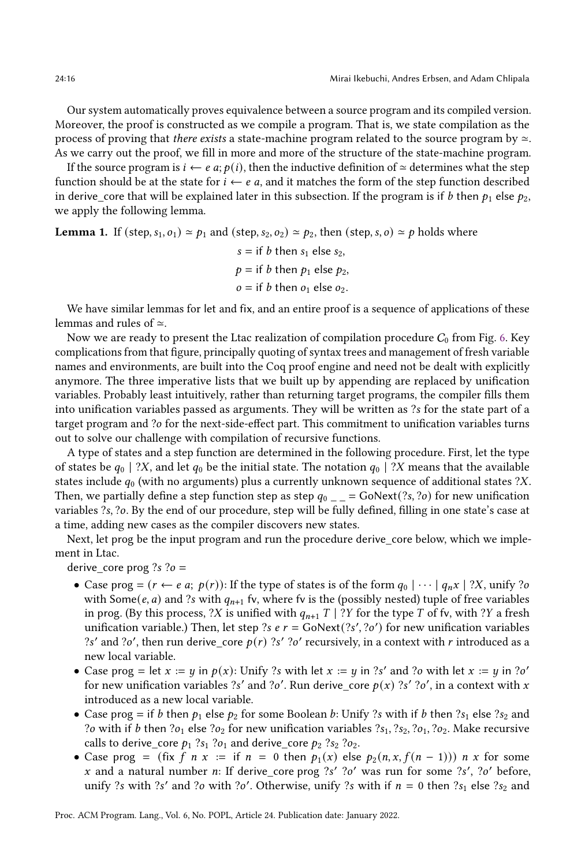Our system automatically proves equivalence between a source program and its compiled version. Moreover, the proof is constructed as we compile a program. That is, we state compilation as the process of proving that there exists a state-machine program related to the source program by  $\simeq$ . As we carry out the proof, we fill in more and more of the structure of the state-machine program.

If the source program is *i* ← *e a*; *p*(*i*), then the inductive definition of  $\simeq$  determines what the step function should be at the state for  $i \leftarrow e$  a, and it matches the form of the step function described in derive\_core that will be explained later in this subsection. If the program is if *b* then  $p_1$  else  $p_2$ , we apply the following lemma.

**Lemma 1.** If (step,  $s_1, o_1$ )  $\simeq p_1$  and (step,  $s_2, o_2$ )  $\simeq p_2$ , then (step, s, o)  $\simeq p$  holds where

 $s =$  if *b* then  $s_1$  else  $s_2$ ,  $p =$  if *b* then  $p_1$  else  $p_2$ ,  $o =$  if *b* then  $o_1$  else  $o_2$ .

We have similar lemmas for let and fix, and an entire proof is a sequence of applications of these lemmas and rules of ≃.

Now we are ready to present the Ltac realization of compilation procedure  $C_0$  from Fig. [6.](#page-13-0) Key complications from that figure, principally quoting of syntax trees and management of fresh variable names and environments, are built into the Coq proof engine and need not be dealt with explicitly anymore. The three imperative lists that we built up by appending are replaced by unification variables. Probably least intuitively, rather than returning target programs, the compiler fills them into unification variables passed as arguments. They will be written as ?s for the state part of a target program and ?o for the next-side-effect part. This commitment to unification variables turns out to solve our challenge with compilation of recursive functions.

A type of states and a step function are determined in the following procedure. First, let the type of states be  $q_0$  | ?X, and let  $q_0$  be the initial state. The notation  $q_0$  | ?X means that the available states include  $q_0$  (with no arguments) plus a currently unknown sequence of additional states ?X. Then, we partially define a step function step as step  $q_0$  = GoNext(?s, ?o) for new unification variables ?s, ?o. By the end of our procedure, step will be fully defined, filling in one state's case at a time, adding new cases as the compiler discovers new states.

Next, let prog be the input program and run the procedure derive\_core below, which we implement in Ltac.

derive\_core prog ?s ?o =

- Case prog =  $(r \leftarrow e \ a; p(r))$ : If the type of states is of the form  $q_0 | \cdots | q_n x | ?X$ , unify ?o with Some(e, a) and ?s with  $q_{n+1}$  fv, where fv is the (possibly nested) tuple of free variables in prog. (By this process, ?X is unified with  $q_{n+1}$  T | ?Y for the type T of fv, with ?Y a fresh unification variable.) Then, let step ?s  $e r = \text{GoNext}(?s', ?o')$  for new unification variables ?s' and ?o', then run derive\_core  $p(r)$  ?s' ?o' recursively, in a context with r introduced as a new local variable.
- Case prog = let  $x := y$  in  $p(x)$ : Unify ?s with let  $x := y$  in ?s' and ?o with let  $x := y$  in ?o' for new unification variables ?s' and ?o'. Run derive\_core  $p(x)$  ?s' ?o', in a context with x introduced as a new local variable.
- Case prog = if *b* then  $p_1$  else  $p_2$  for some Boolean *b*: Unify ?s with if *b* then ?s<sub>1</sub> else ?s<sub>2</sub> and ?o with if *b* then ?o<sub>1</sub> else ?o<sub>2</sub> for new unification variables ?s<sub>1</sub>, ?s<sub>2</sub>, ?o<sub>1</sub>, ?o<sub>2</sub>. Make recursive calls to derive\_core  $p_1$  ?s<sub>1</sub> ?o<sub>1</sub> and derive\_core  $p_2$  ?s<sub>2</sub> ?o<sub>2</sub>.
- Case prog = (fix f n x := if  $n = 0$  then  $p_1(x)$  else  $p_2(n, x, f(n-1))$ ) n x for some x and a natural number n: If derive\_core prog  $?s'$   $?o'$  was run for some  $?s'$ ,  $?o'$  before, unify ?s with ?s' and ?o with ?o'. Otherwise, unify ?s with if  $n = 0$  then ?s<sub>1</sub> else ?s<sub>2</sub> and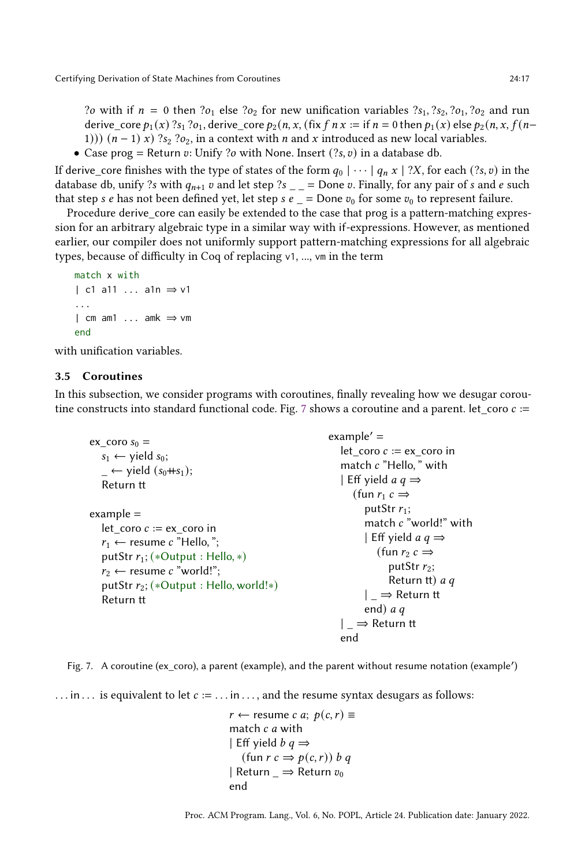?*o* with if  $n = 0$  then ?*o*<sub>1</sub> else ?*o*<sub>2</sub> for new unification variables ?*s*<sub>1</sub>, ?*s*<sub>2</sub>, ?*o*<sub>1</sub>, ?*o*<sub>2</sub> and run derive\_core  $p_1(x)$  ?s<sub>1</sub> ?o<sub>1</sub>, derive\_core  $p_2(n, x, f(x f n x := f f n = 0)$  then  $p_1(x)$  else  $p_2(n, x, f(n+1))$ 1)))  $(n - 1)$  x) ?s<sub>2</sub> ?o<sub>2</sub>, in a context with *n* and x introduced as new local variables.

• Case prog = Return v: Unify ?o with None. Insert (?s, v) in a database db.

If derive\_core finishes with the type of states of the form  $q_0 | \cdots | q_n x | ?X$ , for each  $(?, v)$  in the database db, unify ?s with  $q_{n+1}$  v and let step ?s \_ \_ = Done v. Finally, for any pair of s and e such that step *s e* has not been defined yet, let step *s e*  $\angle$  = Done  $v_0$  for some  $v_0$  to represent failure.

Procedure derive\_core can easily be extended to the case that prog is a pattern-matching expression for an arbitrary algebraic type in a similar way with if-expressions. However, as mentioned earlier, our compiler does not uniformly support pattern-matching expressions for all algebraic types, because of difficulty in Coq of replacing v1, ..., vm in the term

```
match x with
| c1 a11 ... a1n ⇒ v1
...
| cm am1 ... amk ⇒ vm
end
```
with unification variables.

## 3.5 Coroutines

<span id="page-16-0"></span>In this subsection, we consider programs with coroutines, finally revealing how we desugar corou-tine constructs into standard functional code. Fig. [7](#page-16-0) shows a coroutine and a parent. let\_coro  $c :=$ 

| ex coro $s_0 =$<br>$s_1 \leftarrow$ yield $s_0$ ;<br>$\overline{\phantom{a}}$ $\leftarrow$ yield (s <sub>0</sub> ++s <sub>1</sub> );<br>Return tt                                                                        | example' $=$<br>let coro $c := ex$ coro in<br>match c "Hello, " with<br>  Eff yield <i>a q</i> $\Rightarrow$<br>(fun $r_1$ $c \Rightarrow$                                                                                        |
|--------------------------------------------------------------------------------------------------------------------------------------------------------------------------------------------------------------------------|-----------------------------------------------------------------------------------------------------------------------------------------------------------------------------------------------------------------------------------|
| example $=$<br>let coro $c := ex$ coro in<br>$r_1 \leftarrow$ resume c "Hello,";<br>putStr $r_1$ ; (*Output : Hello, *)<br>$r_2 \leftarrow$ resume c "world!":<br>putStr $r_2$ ; (*Output : Hello, world!*)<br>Return tt | putStr $r_1$ ;<br>match $c$ "world!" with<br>  Eff yield <i>a q</i> $\Rightarrow$<br>(fun $r_2 c \Rightarrow$<br>putStr $r_2$ ;<br>Return tt) $a \, q$<br>$ \Rightarrow$ Return tt<br>end) $aq$<br>$\Rightarrow$ Return tt<br>end |



... in ... is equivalent to let  $c := \dots$  in  $\dots$ , and the resume syntax desugars as follows:

```
r \leftarrow resume c a; p(c, r) \equivmatch c a with
| Eff yield b \, q \Rightarrow(fun r c \Rightarrow p(c, r)) b q| Return \Rightarrow Return v_0end
```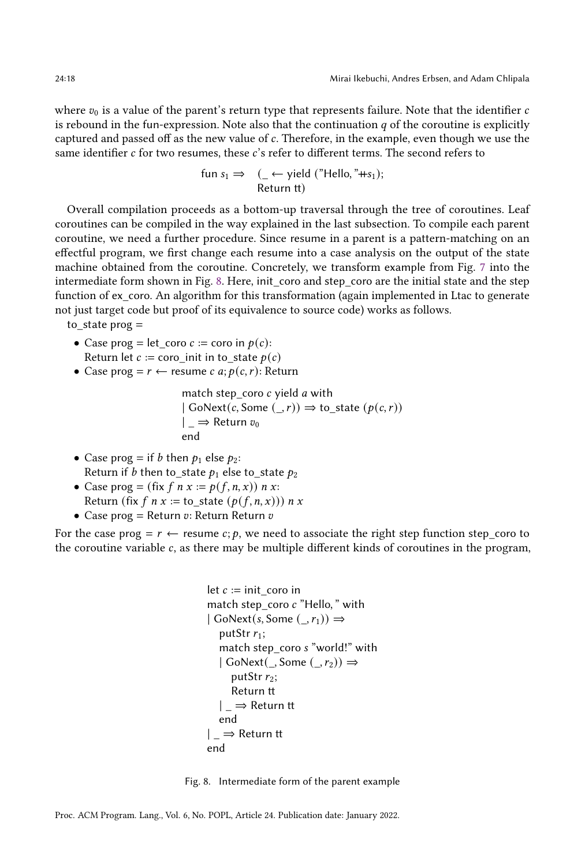where  $v_0$  is a value of the parent's return type that represents failure. Note that the identifier  $c$ is rebound in the fun-expression. Note also that the continuation  $q$  of the coroutine is explicitly captured and passed off as the new value of c. Therefore, in the example, even though we use the same identifier  $c$  for two resumes, these  $c$ 's refer to different terms. The second refers to

fun s<sub>1</sub> ⇒ 
$$
(\_ \leftarrow \text{ yield ("Hello, "Hs1)};
$$
  
Return tt)

Overall compilation proceeds as a bottom-up traversal through the tree of coroutines. Leaf coroutines can be compiled in the way explained in the last subsection. To compile each parent coroutine, we need a further procedure. Since resume in a parent is a pattern-matching on an effectful program, we first change each resume into a case analysis on the output of the state machine obtained from the coroutine. Concretely, we transform example from Fig. [7](#page-16-0) into the intermediate form shown in Fig. [8.](#page-17-0) Here, init coro and step coro are the initial state and the step function of ex\_coro. An algorithm for this transformation (again implemented in Ltac to generate not just target code but proof of its equivalence to source code) works as follows.

to\_state prog =

- Case prog = let coro  $c :=$  coro in  $p(c)$ : Return let  $c := \text{coro}\,$  init in to state  $p(c)$
- Case prog =  $r \leftarrow$  resume  $c \ a; p(c, r)$ : Return

match step coro  $c$  yield  $a$  with  $|$  GoNext $(c,$  Some  $($ ,  $r)$  $)$   $\Rightarrow$  to state  $(p(c, r))$  $|\Rightarrow$  Return  $v_0$ end

- Case prog = if *b* then  $p_1$  else  $p_2$ : Return if *b* then to state  $p_1$  else to state  $p_2$
- Case prog = (fix  $f \circ x := p(f, n, x)$ )  $n x$ : Return (fix  $f \, n \, x :=$  to state  $(p(f, n, x))$ )  $n \, x$
- Case prog = Return  $v$ : Return Return  $v$

<span id="page-17-0"></span>For the case prog =  $r \leftarrow$  resume  $c; p$ , we need to associate the right step function step\_coro to the coroutine variable  $c$ , as there may be multiple different kinds of coroutines in the program,

```
let c := \text{init\_coro in}match step_coro c "Hello," with
| GoNext(s, Some (, r_1)\RightarrowputStr r_1;
  match step_coro s "world!" with
  | GoNext(\_, Some (\_, r_2)) \RightarrowputStr r_2;
     Return tt
  | _ ⇒ Return tt
  end
| _ ⇒ Return tt
end
```
Fig. 8. Intermediate form of the parent example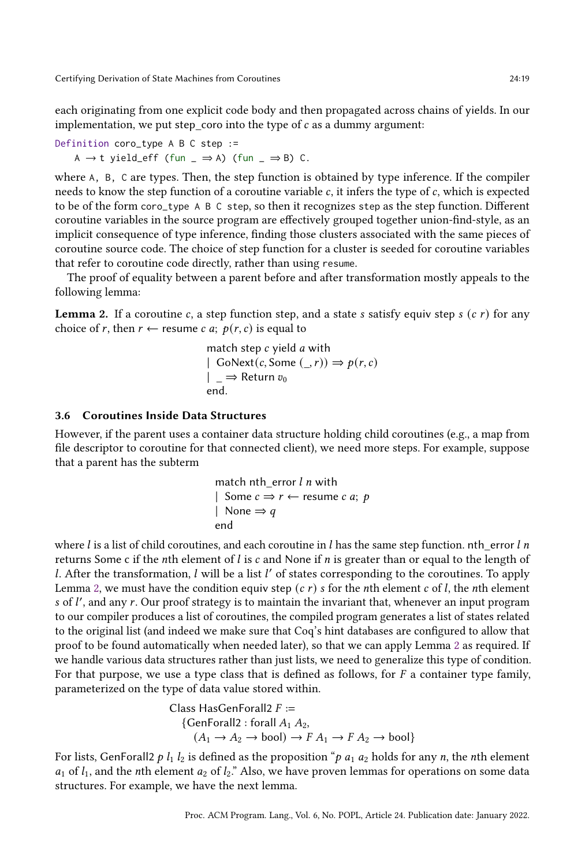each originating from one explicit code body and then propagated across chains of yields. In our implementation, we put step\_coro into the type of  $c$  as a dummy argument:

Definition coro\_type A B C step := A  $\rightarrow$  t yield\_eff (fun \_  $\Rightarrow$  A) (fun \_  $\Rightarrow$  B) C.

where A, B, C are types. Then, the step function is obtained by type inference. If the compiler needs to know the step function of a coroutine variable  $c$ , it infers the type of  $c$ , which is expected to be of the form coro\_type A B C step, so then it recognizes step as the step function. Different coroutine variables in the source program are effectively grouped together union-find-style, as an implicit consequence of type inference, finding those clusters associated with the same pieces of coroutine source code. The choice of step function for a cluster is seeded for coroutine variables that refer to coroutine code directly, rather than using resume.

The proof of equality between a parent before and after transformation mostly appeals to the following lemma:

<span id="page-18-0"></span>**Lemma 2.** If a coroutine c, a step function step, and a state s satisfy equiv step s  $(c r)$  for any choice of r, then  $r \leftarrow$  resume c a;  $p(r, c)$  is equal to

match step *c* yield *a* with  
\n| GoNext(*c*, Some (\_, *r*)) ⇒ 
$$
p(r, c)
$$
  
\n|  $\Rightarrow$  Return  $v_0$   
\nend.

#### 3.6 Coroutines Inside Data Structures

However, if the parent uses a container data structure holding child coroutines (e.g., a map from file descriptor to coroutine for that connected client), we need more steps. For example, suppose that a parent has the subterm

match nth\_error *l n* with  
\n| Some 
$$
c \Rightarrow r \leftarrow
$$
 resume *c a*; *p*  
\n| None  $\Rightarrow q$   
\nend

where l is a list of child coroutines, and each coroutine in l has the same step function. ntherror l n returns Some c if the *n*th element of *l* is c and None if *n* is greater than or equal to the length of l. After the transformation, l will be a list l' of states corresponding to the coroutines. To apply Lemma [2,](#page-18-0) we must have the condition equiv step  $(c, r)$  s for the *n*th element  $c$  of  $l$ , the *n*th element  $s$  of  $l'$ , and any  $r$ . Our proof strategy is to maintain the invariant that, whenever an input program to our compiler produces a list of coroutines, the compiled program generates a list of states related to the original list (and indeed we make sure that Coq's hint databases are configured to allow that proof to be found automatically when needed later), so that we can apply Lemma [2](#page-18-0) as required. If we handle various data structures rather than just lists, we need to generalize this type of condition. For that purpose, we use a type class that is defined as follows, for  $F$  a container type family, parameterized on the type of data value stored within.

Class HasGenForall2 
$$
F :=
$$

\n{GenForall2: forall  $A_1 A_2$ ,

\n $(A_1 \rightarrow A_2 \rightarrow \text{bool}) \rightarrow F A_1 \rightarrow F A_2 \rightarrow \text{bool}$ }

For lists, GenForall2  $p l_1 l_2$  is defined as the proposition " $p a_1 a_2$  holds for any n, the nth element  $a_1$  of  $l_1$ , and the *n*th element  $a_2$  of  $l_2$ ." Also, we have proven lemmas for operations on some data structures. For example, we have the next lemma.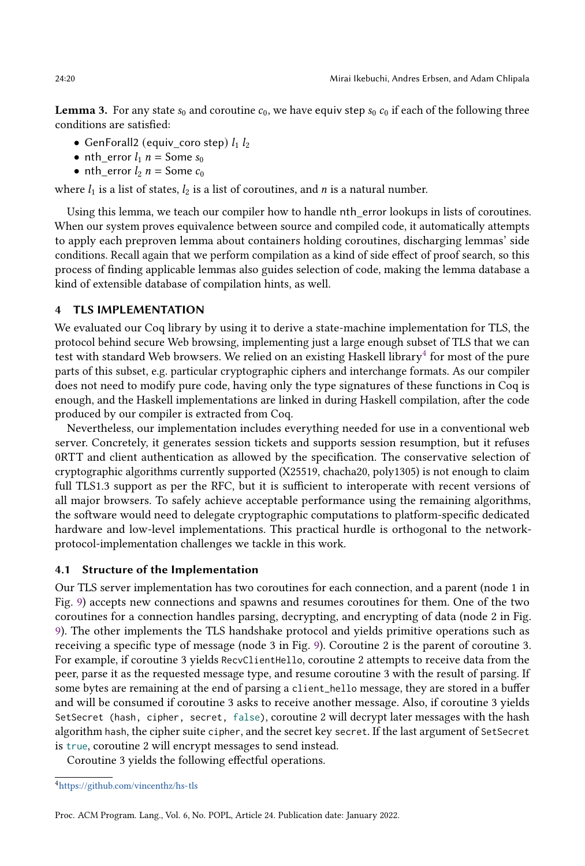**Lemma 3.** For any state  $s_0$  and coroutine  $c_0$ , we have equiv step  $s_0$   $c_0$  if each of the following three conditions are satisfied:

- GenForall2 (equiv\_coro step)  $l_1 l_2$
- nth\_error  $l_1$   $n =$  Some  $s_0$
- nth\_error  $l_2$   $n =$  Some  $c_0$

where  $l_1$  is a list of states,  $l_2$  is a list of coroutines, and *n* is a natural number.

Using this lemma, we teach our compiler how to handle nth\_error lookups in lists of coroutines. When our system proves equivalence between source and compiled code, it automatically attempts to apply each preproven lemma about containers holding coroutines, discharging lemmas' side conditions. Recall again that we perform compilation as a kind of side effect of proof search, so this process of finding applicable lemmas also guides selection of code, making the lemma database a kind of extensible database of compilation hints, as well.

## 4 TLS IMPLEMENTATION

We evaluated our Coq library by using it to derive a state-machine implementation for TLS, the protocol behind secure Web browsing, implementing just a large enough subset of TLS that we can test with standard Web browsers. We relied on an existing Haskell library $^4$  $^4$  for most of the pure parts of this subset, e.g. particular cryptographic ciphers and interchange formats. As our compiler does not need to modify pure code, having only the type signatures of these functions in Coq is enough, and the Haskell implementations are linked in during Haskell compilation, after the code produced by our compiler is extracted from Coq.

Nevertheless, our implementation includes everything needed for use in a conventional web server. Concretely, it generates session tickets and supports session resumption, but it refuses 0RTT and client authentication as allowed by the specification. The conservative selection of cryptographic algorithms currently supported (X25519, chacha20, poly1305) is not enough to claim full TLS1.3 support as per the RFC, but it is sufficient to interoperate with recent versions of all major browsers. To safely achieve acceptable performance using the remaining algorithms, the software would need to delegate cryptographic computations to platform-specific dedicated hardware and low-level implementations. This practical hurdle is orthogonal to the networkprotocol-implementation challenges we tackle in this work.

## 4.1 Structure of the Implementation

Our TLS server implementation has two coroutines for each connection, and a parent (node 1 in Fig. [9\)](#page-20-0) accepts new connections and spawns and resumes coroutines for them. One of the two coroutines for a connection handles parsing, decrypting, and encrypting of data (node 2 in Fig. [9\)](#page-20-0). The other implements the TLS handshake protocol and yields primitive operations such as receiving a specific type of message (node 3 in Fig. [9\)](#page-20-0). Coroutine 2 is the parent of coroutine 3. For example, if coroutine 3 yields RecvClientHello, coroutine 2 attempts to receive data from the peer, parse it as the requested message type, and resume coroutine 3 with the result of parsing. If some bytes are remaining at the end of parsing a client\_hello message, they are stored in a buffer and will be consumed if coroutine 3 asks to receive another message. Also, if coroutine 3 yields SetSecret (hash, cipher, secret, false), coroutine 2 will decrypt later messages with the hash algorithm hash, the cipher suite cipher, and the secret key secret. If the last argument of SetSecret is true, coroutine 2 will encrypt messages to send instead.

Coroutine 3 yields the following effectful operations.

<span id="page-19-0"></span><sup>4</sup><https://github.com/vincenthz/hs-tls>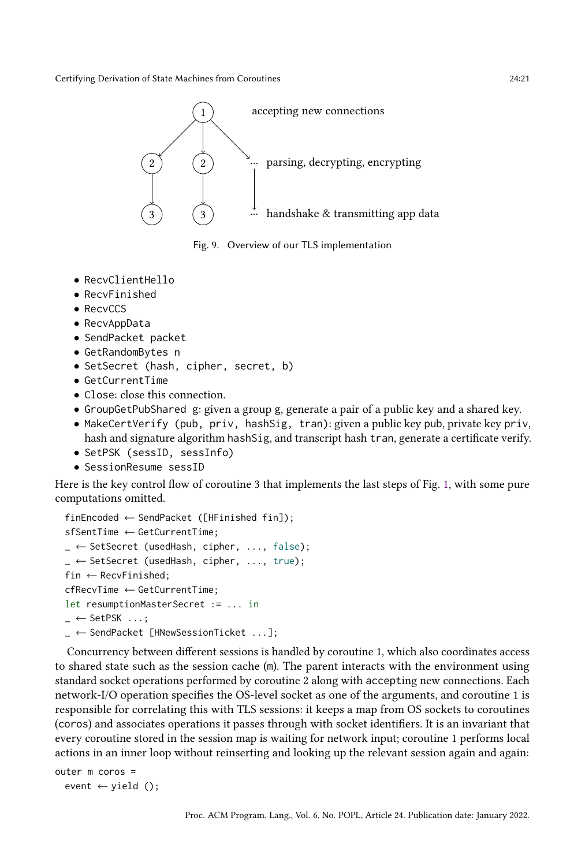<span id="page-20-0"></span>

Fig. 9. Overview of our TLS implementation

- RecvClientHello
- RecvFinished
- RecvCCS
- RecvAppData
- SendPacket packet
- GetRandomBytes n
- SetSecret (hash, cipher, secret, b)
- GetCurrentTime
- Close: close this connection.
- GroupGetPubShared g: given a group g, generate a pair of a public key and a shared key.
- MakeCertVerify (pub, priv, hashSig, tran): given a public key pub, private key priv, hash and signature algorithm hashSig, and transcript hash tran, generate a certificate verify.
- SetPSK (sessID, sessInfo)
- SessionResume sessID

Here is the key control flow of coroutine 3 that implements the last steps of Fig. [1,](#page-1-0) with some pure computations omitted.

```
finEncoded ← SendPacket ([HFinished fin]);
sfSentTime ← GetCurrentTime;
\angle ← SetSecret (usedHash, cipher, ..., false);
_ ← SetSecret (usedHash, cipher, ..., true);
fin \leftarrow RecvFinished:
cfRecvTime ← GetCurrentTime;
let resumptionMasterSecret := ... in
\overline{\phantom{C}} \leftarrow SetPSK \ldots;
\mathcal{L} \leftarrow SendPacket [HNewSessionTicket ...];
```
Concurrency between different sessions is handled by coroutine 1, which also coordinates access to shared state such as the session cache (m). The parent interacts with the environment using standard socket operations performed by coroutine 2 along with accepting new connections. Each network-I/O operation specifies the OS-level socket as one of the arguments, and coroutine 1 is responsible for correlating this with TLS sessions: it keeps a map from OS sockets to coroutines (coros) and associates operations it passes through with socket identifiers. It is an invariant that every coroutine stored in the session map is waiting for network input; coroutine 1 performs local actions in an inner loop without reinserting and looking up the relevant session again and again:

```
outer m coros =
  event \leftarrow yield ();
```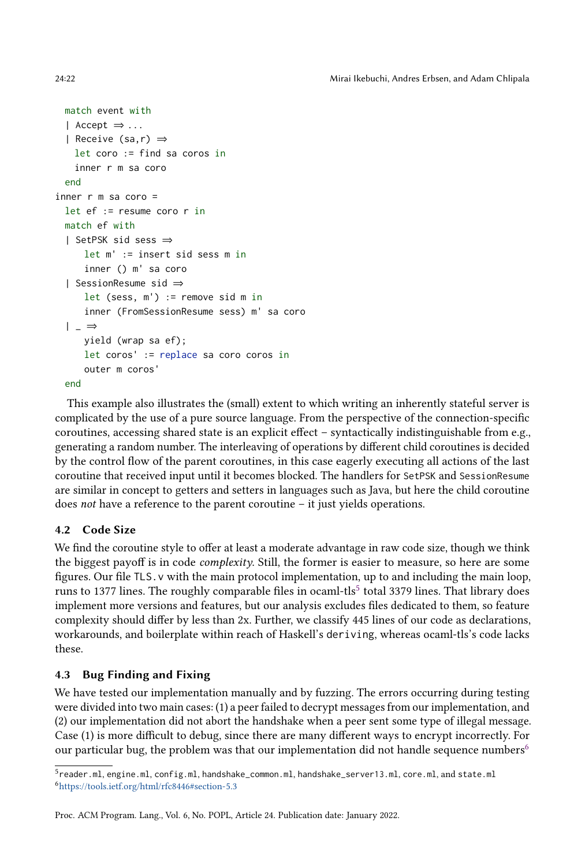24:22 Mirai Ikebuchi, Andres Erbsen, and Adam Chlipala

```
match event with
 | Accept ⇒ ...
  | Receive (sa,r) ⇒
   let coro := find sa coros in
   inner r m sa coro
 end
inner r m sa coro =
 let ef := resume coro r in
 match ef with
  | SetPSK sid sess ⇒
     let m' := insert sid sess m in
     inner () m' sa coro
  | SessionResume sid ⇒
     let (sess, m') := remove sid m in
     inner (FromSessionResume sess) m' sa coro
  | \_ \Rightarrowyield (wrap sa ef);
     let coros' := replace sa coro coros in
     outer m coros'
 end
```
This example also illustrates the (small) extent to which writing an inherently stateful server is complicated by the use of a pure source language. From the perspective of the connection-specific coroutines, accessing shared state is an explicit effect  $-$  syntactically indistinguishable from e.g., generating a random number. The interleaving of operations by different child coroutines is decided by the control flow of the parent coroutines, in this case eagerly executing all actions of the last coroutine that received input until it becomes blocked. The handlers for SetPSK and SessionResume are similar in concept to getters and setters in languages such as Java, but here the child coroutine does not have a reference to the parent coroutine  $-$  it just yields operations.

# 4.2 Code Size

We find the coroutine style to offer at least a moderate advantage in raw code size, though we think the biggest payoff is in code complexity. Still, the former is easier to measure, so here are some figures. Our file TLS.v with the main protocol implementation, up to and including the main loop, runs to 1377 lines. The roughly comparable files in ocaml-tls $^5$  $^5$  total 3379 lines. That library does implement more versions and features, but our analysis excludes files dedicated to them, so feature complexity should differ by less than 2x. Further, we classify 445 lines of our code as declarations, workarounds, and boilerplate within reach of Haskell's deriving, whereas ocaml-tls's code lacks these.

# 4.3 Bug Finding and Fixing

We have tested our implementation manually and by fuzzing. The errors occurring during testing were divided into two main cases: (1) a peer failed to decrypt messages from our implementation, and (2) our implementation did not abort the handshake when a peer sent some type of illegal message. Case (1) is more difficult to debug, since there are many different ways to encrypt incorrectly. For our particular bug, the problem was that our implementation did not handle sequence numbers<sup>[6](#page-21-1)</sup>

<span id="page-21-1"></span><span id="page-21-0"></span><sup>5</sup>reader.ml, engine.ml, config.ml, handshake\_common.ml, handshake\_server13.ml, core.ml, and state.ml <sup>6</sup><https://tools.ietf.org/html/rfc8446#section-5.3>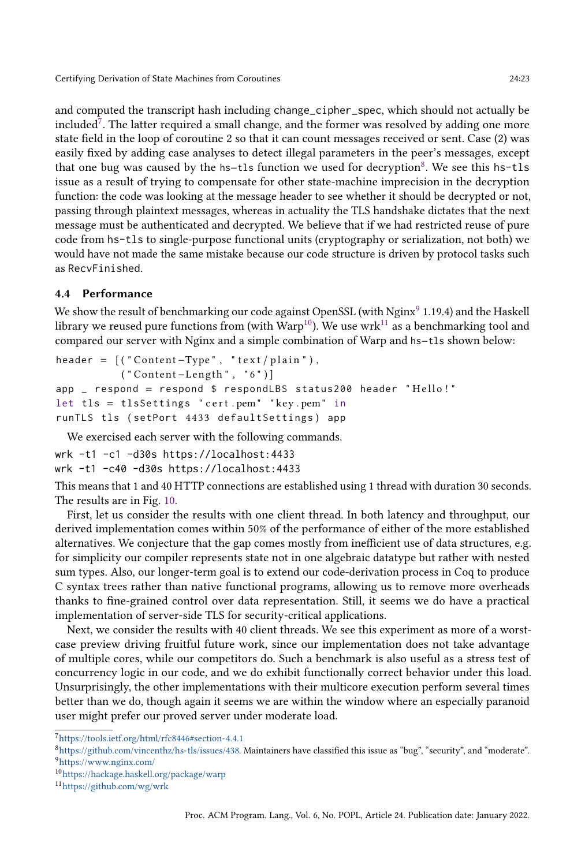and computed the transcript hash including change\_cipher\_spec, which should not actually be included<sup>[7](#page-22-0)</sup>. The latter required a small change, and the former was resolved by adding one more state field in the loop of coroutine 2 so that it can count messages received or sent. Case (2) was easily fixed by adding case analyses to detect illegal parameters in the peer's messages, except that one bug was caused by the <code>hs–tls</code> function we used for decryption $^8$  $^8$ . We see this <code>hs−tls</code> issue as a result of trying to compensate for other state-machine imprecision in the decryption function: the code was looking at the message header to see whether it should be decrypted or not, passing through plaintext messages, whereas in actuality the TLS handshake dictates that the next message must be authenticated and decrypted. We believe that if we had restricted reuse of pure code from hs-tls to single-purpose functional units (cryptography or serialization, not both) we would have not made the same mistake because our code structure is driven by protocol tasks such as RecvFinished.

## 4.4 Performance

We show the result of benchmarking our code against OpenSSL (with Nginx $^9$  $^9$  1.19.4) and the Haskell library we reused pure functions from (with  $\text{Warp}^{10}$  $\text{Warp}^{10}$  $\text{Warp}^{10}$ ). We use wrk<sup>[11](#page-22-4)</sup> as a benchmarking tool and compared our server with Nginx and a simple combination of Warp and hs−tls shown below:

```
header = (("Content-Type", "text/plain"),(''Content-Length'', '6'')]app \_ respond = respond $ respondLBS status200 header "Hello!"
let tls = tlsSettings " cert .pem" "key .pem" in
runTLS tls ( setPort 4433 defaultSettings ) app
```
We exercised each server with the following commands.

wrk -t1 -c1 -d30s https://localhost:4433 wrk -t1 -c40 -d30s https://localhost:4433

This means that 1 and 40 HTTP connections are established using 1 thread with duration 30 seconds. The results are in Fig. [10.](#page-23-0)

First, let us consider the results with one client thread. In both latency and throughput, our derived implementation comes within 50% of the performance of either of the more established alternatives. We conjecture that the gap comes mostly from inefficient use of data structures, e.g. for simplicity our compiler represents state not in one algebraic datatype but rather with nested sum types. Also, our longer-term goal is to extend our code-derivation process in Coq to produce C syntax trees rather than native functional programs, allowing us to remove more overheads thanks to fine-grained control over data representation. Still, it seems we do have a practical implementation of server-side TLS for security-critical applications.

Next, we consider the results with 40 client threads. We see this experiment as more of a worstcase preview driving fruitful future work, since our implementation does not take advantage of multiple cores, while our competitors do. Such a benchmark is also useful as a stress test of concurrency logic in our code, and we do exhibit functionally correct behavior under this load. Unsurprisingly, the other implementations with their multicore execution perform several times better than we do, though again it seems we are within the window where an especially paranoid user might prefer our proved server under moderate load.

<span id="page-22-0"></span> $^7$ <https://tools.ietf.org/html/rfc8446#section-4.4.1>

<span id="page-22-2"></span><span id="page-22-1"></span> $8$ [https://github.com/vincenthz/hs-tls/issues/438.](https://github.com/vincenthz/hs-tls/issues/438) Maintainers have classified this issue as "bug", "security", and "moderate". <sup>9</sup><https://www.nginx.com/>

<span id="page-22-3"></span><sup>10</sup><https://hackage.haskell.org/package/warp>

<span id="page-22-4"></span><sup>11</sup><https://github.com/wg/wrk>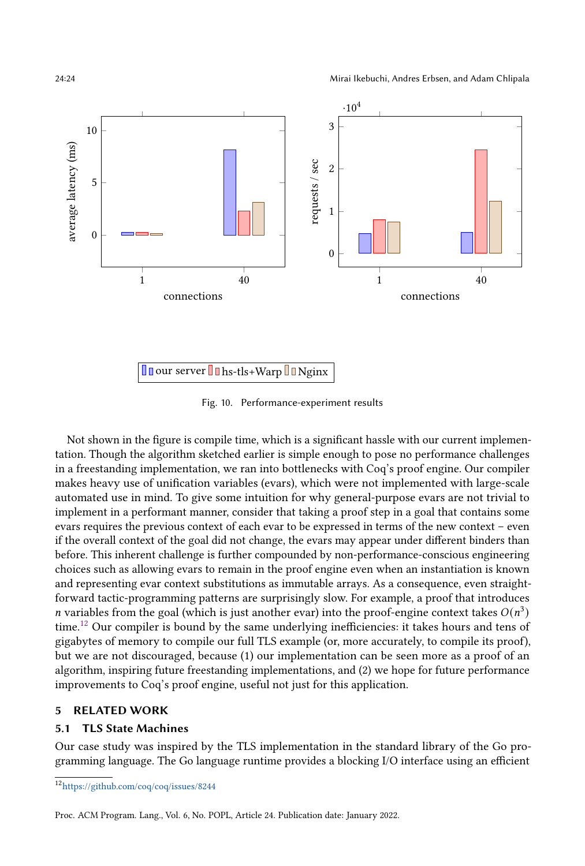<span id="page-23-0"></span>

Fig. 10. Performance-experiment results

Not shown in the figure is compile time, which is a significant hassle with our current implementation. Though the algorithm sketched earlier is simple enough to pose no performance challenges in a freestanding implementation, we ran into bottlenecks with Coq's proof engine. Our compiler makes heavy use of unification variables (evars), which were not implemented with large-scale automated use in mind. To give some intuition for why general-purpose evars are not trivial to implement in a performant manner, consider that taking a proof step in a goal that contains some evars requires the previous context of each evar to be expressed in terms of the new context – even if the overall context of the goal did not change, the evars may appear under different binders than before. This inherent challenge is further compounded by non-performance-conscious engineering choices such as allowing evars to remain in the proof engine even when an instantiation is known and representing evar context substitutions as immutable arrays. As a consequence, even straightforward tactic-programming patterns are surprisingly slow. For example, a proof that introduces *n* variables from the goal (which is just another evar) into the proof-engine context takes  $O(n^3)$ time.[12](#page-23-1) Our compiler is bound by the same underlying inefficiencies: it takes hours and tens of gigabytes of memory to compile our full TLS example (or, more accurately, to compile its proof), but we are not discouraged, because (1) our implementation can be seen more as a proof of an algorithm, inspiring future freestanding implementations, and (2) we hope for future performance improvements to Coq's proof engine, useful not just for this application.

## 5 RELATED WORK

## 5.1 TLS State Machines

Our case study was inspired by the TLS implementation in the standard library of the Go programming language. The Go language runtime provides a blocking I/O interface using an efficient

<span id="page-23-1"></span><sup>12</sup><https://github.com/coq/coq/issues/8244>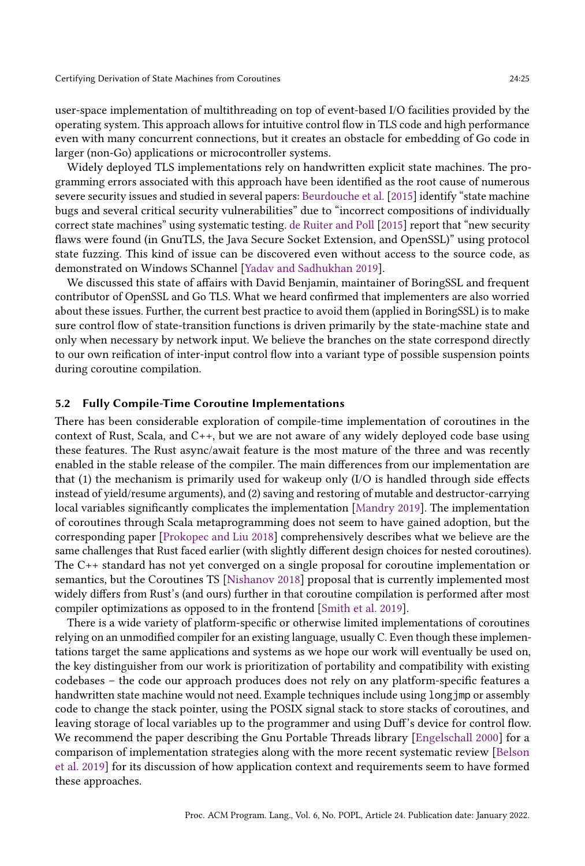user-space implementation of multithreading on top of event-based I/O facilities provided by the operating system. This approach allows for intuitive control flow in TLS code and high performance even with many concurrent connections, but it creates an obstacle for embedding of Go code in larger (non-Go) applications or microcontroller systems.

Widely deployed TLS implementations rely on handwritten explicit state machines. The programming errors associated with this approach have been identified as the root cause of numerous severe security issues and studied in several papers: [Beurdouche et al.](#page-28-0) [\[2015\]](#page-28-0) identify "state machine bugs and several critical security vulnerabilities" due to "incorrect compositions of individually correct state machines" using systematic testing. [de Ruiter and Poll](#page-28-1) [\[2015\]](#page-28-1) report that "new security flaws were found (in GnuTLS, the Java Secure Socket Extension, and OpenSSL)" using protocol state fuzzing. This kind of issue can be discovered even without access to the source code, as demonstrated on Windows SChannel [\[Yadav and Sadhukhan 2019\]](#page-30-1).

We discussed this state of affairs with David Benjamin, maintainer of BoringSSL and frequent contributor of OpenSSL and Go TLS. What we heard confirmed that implementers are also worried about these issues. Further, the current best practice to avoid them (applied in BoringSSL) is to make sure control flow of state-transition functions is driven primarily by the state-machine state and only when necessary by network input. We believe the branches on the state correspond directly to our own reification of inter-input control flow into a variant type of possible suspension points during coroutine compilation.

#### 5.2 Fully Compile-Time Coroutine Implementations

There has been considerable exploration of compile-time implementation of coroutines in the context of Rust, Scala, and C++, but we are not aware of any widely deployed code base using these features. The Rust async/await feature is the most mature of the three and was recently enabled in the stable release of the compiler. The main differences from our implementation are that (1) the mechanism is primarily used for wakeup only (I/O is handled through side effects instead of yield/resume arguments), and (2) saving and restoring of mutable and destructor-carrying local variables significantly complicates the implementation [\[Mandry 2019\]](#page-29-13). The implementation of coroutines through Scala metaprogramming does not seem to have gained adoption, but the corresponding paper [\[Prokopec and Liu 2018\]](#page-29-14) comprehensively describes what we believe are the same challenges that Rust faced earlier (with slightly different design choices for nested coroutines). The C++ standard has not yet converged on a single proposal for coroutine implementation or semantics, but the Coroutines TS [\[Nishanov 2018\]](#page-29-15) proposal that is currently implemented most widely differs from Rust's (and ours) further in that coroutine compilation is performed after most compiler optimizations as opposed to in the frontend [\[Smith et al. 2019\]](#page-30-5).

There is a wide variety of platform-specific or otherwise limited implementations of coroutines relying on an unmodified compiler for an existing language, usually C. Even though these implementations target the same applications and systems as we hope our work will eventually be used on, the key distinguisher from our work is prioritization of portability and compatibility with existing codebases – the code our approach produces does not rely on any platform-specific features a handwritten state machine would not need. Example techniques include using longjmp or assembly code to change the stack pointer, using the POSIX signal stack to store stacks of coroutines, and leaving storage of local variables up to the programmer and using Duff's device for control flow. We recommend the paper describing the Gnu Portable Threads library [\[Engelschall 2000\]](#page-28-8) for a comparison of implementation strategies along with the more recent systematic review [\[Belson](#page-28-9) [et al.](#page-28-9) [2019\]](#page-28-9) for its discussion of how application context and requirements seem to have formed these approaches.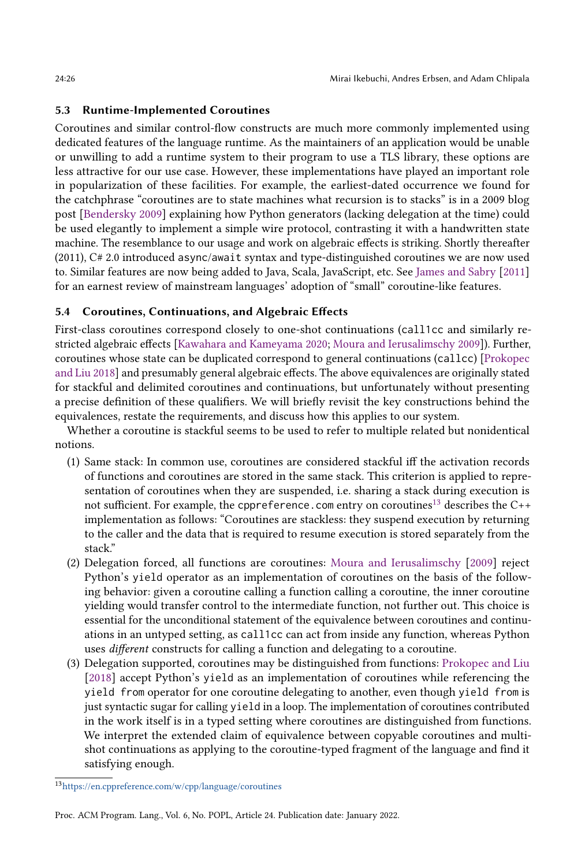## 5.3 Runtime-Implemented Coroutines

Coroutines and similar control-flow constructs are much more commonly implemented using dedicated features of the language runtime. As the maintainers of an application would be unable or unwilling to add a runtime system to their program to use a TLS library, these options are less attractive for our use case. However, these implementations have played an important role in popularization of these facilities. For example, the earliest-dated occurrence we found for the catchphrase "coroutines are to state machines what recursion is to stacks" is in a 2009 blog post [\[Bendersky 2009\]](#page-28-10) explaining how Python generators (lacking delegation at the time) could be used elegantly to implement a simple wire protocol, contrasting it with a handwritten state machine. The resemblance to our usage and work on algebraic effects is striking. Shortly thereafter (2011), C# 2.0 introduced async/await syntax and type-distinguished coroutines we are now used to. Similar features are now being added to Java, Scala, JavaScript, etc. See [James and Sabry](#page-29-16) [\[2011\]](#page-29-16) for an earnest review of mainstream languages' adoption of "small" coroutine-like features.

## 5.4 Coroutines, Continuations, and Algebraic Effects

First-class coroutines correspond closely to one-shot continuations (call1cc and similarly restricted algebraic effects [\[Kawahara and Kameyama 2020;](#page-29-17) [Moura and Ierusalimschy 2009\]](#page-29-18)). Further, coroutines whose state can be duplicated correspond to general continuations (callcc) [\[Prokopec](#page-29-14) [and Liu 2018\]](#page-29-14) and presumably general algebraic effects. The above equivalences are originally stated for stackful and delimited coroutines and continuations, but unfortunately without presenting a precise definition of these qualifiers. We will briefly revisit the key constructions behind the equivalences, restate the requirements, and discuss how this applies to our system.

Whether a coroutine is stackful seems to be used to refer to multiple related but nonidentical notions.

- (1) Same stack: In common use, coroutines are considered stackful iff the activation records of functions and coroutines are stored in the same stack. This criterion is applied to representation of coroutines when they are suspended, i.e. sharing a stack during execution is not sufficient. For example, the cppreference. com entry on coroutines<sup>[13](#page-25-0)</sup> describes the  $C++$ implementation as follows: "Coroutines are stackless: they suspend execution by returning to the caller and the data that is required to resume execution is stored separately from the stack."
- (2) Delegation forced, all functions are coroutines: [Moura and Ierusalimschy](#page-29-18) [\[2009\]](#page-29-18) reject Python's yield operator as an implementation of coroutines on the basis of the following behavior: given a coroutine calling a function calling a coroutine, the inner coroutine yielding would transfer control to the intermediate function, not further out. This choice is essential for the unconditional statement of the equivalence between coroutines and continuations in an untyped setting, as call1cc can act from inside any function, whereas Python uses different constructs for calling a function and delegating to a coroutine.
- (3) Delegation supported, coroutines may be distinguished from functions: [Prokopec and Liu](#page-29-14) [\[2018\]](#page-29-14) accept Python's yield as an implementation of coroutines while referencing the yield from operator for one coroutine delegating to another, even though yield from is just syntactic sugar for calling yield in a loop. The implementation of coroutines contributed in the work itself is in a typed setting where coroutines are distinguished from functions. We interpret the extended claim of equivalence between copyable coroutines and multishot continuations as applying to the coroutine-typed fragment of the language and find it satisfying enough.

<span id="page-25-0"></span><sup>13</sup><https://en.cppreference.com/w/cpp/language/coroutines>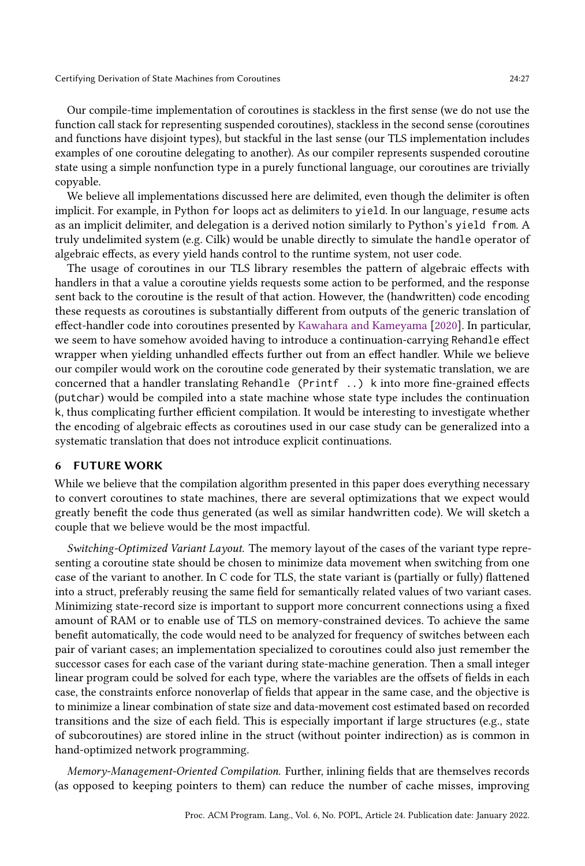Our compile-time implementation of coroutines is stackless in the first sense (we do not use the function call stack for representing suspended coroutines), stackless in the second sense (coroutines and functions have disjoint types), but stackful in the last sense (our TLS implementation includes examples of one coroutine delegating to another). As our compiler represents suspended coroutine state using a simple nonfunction type in a purely functional language, our coroutines are trivially copyable.

We believe all implementations discussed here are delimited, even though the delimiter is often implicit. For example, in Python for loops act as delimiters to yield. In our language, resume acts as an implicit delimiter, and delegation is a derived notion similarly to Python's yield from. A truly undelimited system (e.g. Cilk) would be unable directly to simulate the handle operator of algebraic effects, as every yield hands control to the runtime system, not user code.

The usage of coroutines in our TLS library resembles the pattern of algebraic effects with handlers in that a value a coroutine yields requests some action to be performed, and the response sent back to the coroutine is the result of that action. However, the (handwritten) code encoding these requests as coroutines is substantially different from outputs of the generic translation of effect-handler code into coroutines presented by [Kawahara and Kameyama](#page-29-17) [\[2020\]](#page-29-17). In particular, we seem to have somehow avoided having to introduce a continuation-carrying Rehandle effect wrapper when yielding unhandled effects further out from an effect handler. While we believe our compiler would work on the coroutine code generated by their systematic translation, we are concerned that a handler translating Rehandle (Printf ..) k into more fine-grained effects (putchar) would be compiled into a state machine whose state type includes the continuation k, thus complicating further efficient compilation. It would be interesting to investigate whether the encoding of algebraic effects as coroutines used in our case study can be generalized into a systematic translation that does not introduce explicit continuations.

## 6 FUTURE WORK

While we believe that the compilation algorithm presented in this paper does everything necessary to convert coroutines to state machines, there are several optimizations that we expect would greatly benefit the code thus generated (as well as similar handwritten code). We will sketch a couple that we believe would be the most impactful.

Switching-Optimized Variant Layout. The memory layout of the cases of the variant type representing a coroutine state should be chosen to minimize data movement when switching from one case of the variant to another. In C code for TLS, the state variant is (partially or fully) flattened into a struct, preferably reusing the same field for semantically related values of two variant cases. Minimizing state-record size is important to support more concurrent connections using a fixed amount of RAM or to enable use of TLS on memory-constrained devices. To achieve the same benefit automatically, the code would need to be analyzed for frequency of switches between each pair of variant cases; an implementation specialized to coroutines could also just remember the successor cases for each case of the variant during state-machine generation. Then a small integer linear program could be solved for each type, where the variables are the offsets of fields in each case, the constraints enforce nonoverlap of fields that appear in the same case, and the objective is to minimize a linear combination of state size and data-movement cost estimated based on recorded transitions and the size of each field. This is especially important if large structures (e.g., state of subcoroutines) are stored inline in the struct (without pointer indirection) as is common in hand-optimized network programming.

Memory-Management-Oriented Compilation. Further, inlining fields that are themselves records (as opposed to keeping pointers to them) can reduce the number of cache misses, improving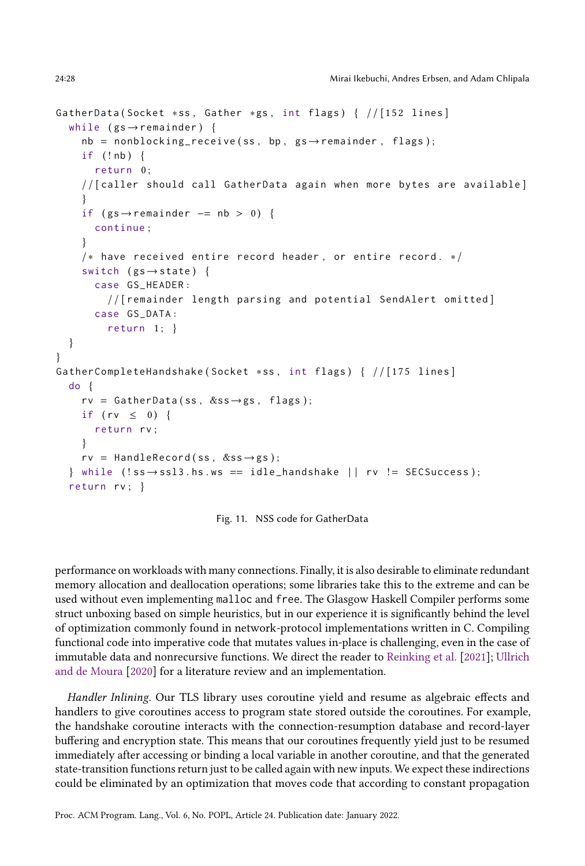```
GatherData ( Socket *ss, Gather *gs, int flags) { // [152 lines]
  while (gs \rightarrow remainder) {
    nb = nonblocking\_receive(ss, bp, gs \rightarrow remainder, flags);if (!nb) {
      return 0;
    / / [ caller should call GatherData again when more bytes are available ]
     }
    if (gs \rightarrow remainder -= nb > 0) {
       continue ;
     }
    /* have received entire record header, or entire record. */
    switch (gs \rightarrow state) {
       case GS_HEADER :
         / / [ remainder length parsing and potential SendAlert omitted ]
       case GS_DATA :
         return 1; }
  }
}
GatherCompleteHandshake (Socket *ss, int flags) { //[175 lines]
  do {
    rv = GatherData(ss, &ss\rightarrowgs, flags);
    if (rv \leq 0) {
      return rv ;
    }
    rv = HandleRecord (ss, &ss \rightarrow gs);
  } while (!ss \rightarrow ss13. hs ws == idle_handshake ||rw| = SECSuccess );
  return rv; }
```
Fig. 11. NSS code for GatherData

performance on workloads with many connections. Finally, it is also desirable to eliminate redundant memory allocation and deallocation operations; some libraries take this to the extreme and can be used without even implementing malloc and free. The Glasgow Haskell Compiler performs some struct unboxing based on simple heuristics, but in our experience it is significantly behind the level of optimization commonly found in network-protocol implementations written in C. Compiling functional code into imperative code that mutates values in-place is challenging, even in the case of immutable data and nonrecursive functions. We direct the reader to [Reinking et al.](#page-29-19) [\[2021\]](#page-29-19); [Ullrich](#page-30-6) [and de Moura](#page-30-6) [\[2020\]](#page-30-6) for a literature review and an implementation.

Handler Inlining. Our TLS library uses coroutine yield and resume as algebraic effects and handlers to give coroutines access to program state stored outside the coroutines. For example, the handshake coroutine interacts with the connection-resumption database and record-layer buffering and encryption state. This means that our coroutines frequently yield just to be resumed immediately after accessing or binding a local variable in another coroutine, and that the generated state-transition functions return just to be called again with new inputs. We expect these indirections could be eliminated by an optimization that moves code that according to constant propagation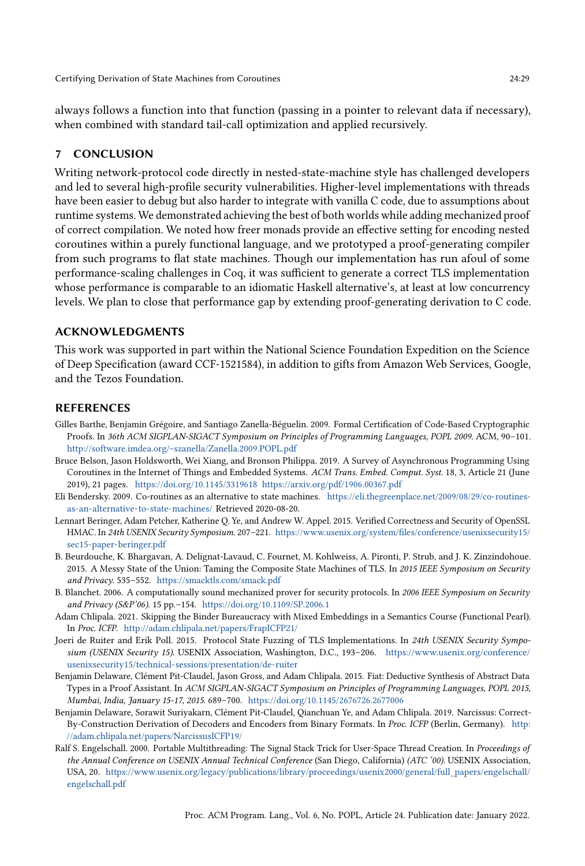always follows a function into that function (passing in a pointer to relevant data if necessary), when combined with standard tail-call optimization and applied recursively.

# 7 CONCLUSION

Writing network-protocol code directly in nested-state-machine style has challenged developers and led to several high-profile security vulnerabilities. Higher-level implementations with threads have been easier to debug but also harder to integrate with vanilla C code, due to assumptions about runtime systems. We demonstrated achieving the best of both worlds while adding mechanized proof of correct compilation. We noted how freer monads provide an effective setting for encoding nested coroutines within a purely functional language, and we prototyped a proof-generating compiler from such programs to flat state machines. Though our implementation has run afoul of some performance-scaling challenges in Coq, it was sufficient to generate a correct TLS implementation whose performance is comparable to an idiomatic Haskell alternative's, at least at low concurrency levels. We plan to close that performance gap by extending proof-generating derivation to C code.

## ACKNOWLEDGMENTS

This work was supported in part within the National Science Foundation Expedition on the Science of Deep Specification (award CCF-1521584), in addition to gifts from Amazon Web Services, Google, and the Tezos Foundation.

## REFERENCES

- <span id="page-28-3"></span>Gilles Barthe, Benjamin Grégoire, and Santiago Zanella-Béguelin. 2009. Formal Certification of Code-Based Cryptographic Proofs. In 36th ACM SIGPLAN-SIGACT Symposium on Principles of Programming Languages, POPL 2009. ACM, 90-101. <http://software.imdea.org/~szanella/Zanella.2009.POPL.pdf>
- <span id="page-28-9"></span>Bruce Belson, Jason Holdsworth, Wei Xiang, and Bronson Philippa. 2019. A Survey of Asynchronous Programming Using Coroutines in the Internet of Things and Embedded Systems. ACM Trans. Embed. Comput. Syst. 18, 3, Article 21 (June 2019), 21 pages. <https://doi.org/10.1145/3319618><https://arxiv.org/pdf/1906.00367.pdf>
- <span id="page-28-10"></span>Eli Bendersky. 2009. Co-routines as an alternative to state machines. [https://eli.thegreenplace.net/2009/08/29/co-routines](https://eli.thegreenplace.net/2009/08/29/co-routines-as-an-alternative-to-state-machines/)[as-an-alternative-to-state-machines/](https://eli.thegreenplace.net/2009/08/29/co-routines-as-an-alternative-to-state-machines/) Retrieved 2020-08-20.
- <span id="page-28-4"></span>Lennart Beringer, Adam Petcher, Katherine Q. Ye, and Andrew W. Appel. 2015. Verified Correctness and Security of OpenSSL HMAC. In 24th USENIX Security Symposium. 207-221. [https://www.usenix.org/system/files/conference/usenixsecurity15/](https://www.usenix.org/system/files/conference/usenixsecurity15/sec15-paper-beringer.pdf) [sec15-paper-beringer.pdf](https://www.usenix.org/system/files/conference/usenixsecurity15/sec15-paper-beringer.pdf)
- <span id="page-28-0"></span>B. Beurdouche, K. Bhargavan, A. Delignat-Lavaud, C. Fournet, M. Kohlweiss, A. Pironti, P. Strub, and J. K. Zinzindohoue. 2015. A Messy State of the Union: Taming the Composite State Machines of TLS. In 2015 IEEE Symposium on Security and Privacy. 535-552. <https://smacktls.com/smack.pdf>
- <span id="page-28-2"></span>B. Blanchet. 2006. A computationally sound mechanized prover for security protocols. In 2006 IEEE Symposium on Security and Privacy (S&P'06). 15 pp. - 154. <https://doi.org/10.1109/SP.2006.1>
- <span id="page-28-7"></span>Adam Chlipala. 2021. Skipping the Binder Bureaucracy with Mixed Embeddings in a Semantics Course (Functional Pearl). In Proc. ICFP. <http://adam.chlipala.net/papers/FrapICFP21/>
- <span id="page-28-1"></span>Joeri de Ruiter and Erik Poll. 2015. Protocol State Fuzzing of TLS Implementations. In 24th USENIX Security Symposium (USENIX Security 15). USENIX Association, Washington, D.C., 193-206. [https://www.usenix.org/conference/](https://www.usenix.org/conference/usenixsecurity15/technical-sessions/presentation/de-ruiter) [usenixsecurity15/technical-sessions/presentation/de-ruiter](https://www.usenix.org/conference/usenixsecurity15/technical-sessions/presentation/de-ruiter)
- <span id="page-28-5"></span>Benjamin Delaware, Clément Pit-Claudel, Jason Gross, and Adam Chlipala. 2015. Fiat: Deductive Synthesis of Abstract Data Types in a Proof Assistant. In ACM SIGPLAN-SIGACT Symposium on Principles of Programming Languages, POPL 2015, Mumbai, India, January 15-17, 2015. 689-700. <https://doi.org/10.1145/2676726.2677006>
- <span id="page-28-6"></span>Benjamin Delaware, Sorawit Suriyakarn, Clément Pit-Claudel, Qianchuan Ye, and Adam Chlipala. 2019. Narcissus: Correct-By-Construction Derivation of Decoders and Encoders from Binary Formats. In Proc. ICFP (Berlin, Germany). [http:](http://adam.chlipala.net/papers/NarcissusICFP19/) [//adam.chlipala.net/papers/NarcissusICFP19/](http://adam.chlipala.net/papers/NarcissusICFP19/)
- <span id="page-28-8"></span>Ralf S. Engelschall. 2000. Portable Multithreading: The Signal Stack Trick for User-Space Thread Creation. In Proceedings of the Annual Conference on USENIX Annual Technical Conference (San Diego, California) (ATC '00). USENIX Association, USA, 20. [https://www.usenix.org/legacy/publications/library/proceedings/usenix2000/general/full\\_papers/engelschall/](https://www.usenix.org/legacy/publications/library/proceedings/usenix2000/general/full_papers/engelschall/engelschall.pdf) [engelschall.pdf](https://www.usenix.org/legacy/publications/library/proceedings/usenix2000/general/full_papers/engelschall/engelschall.pdf)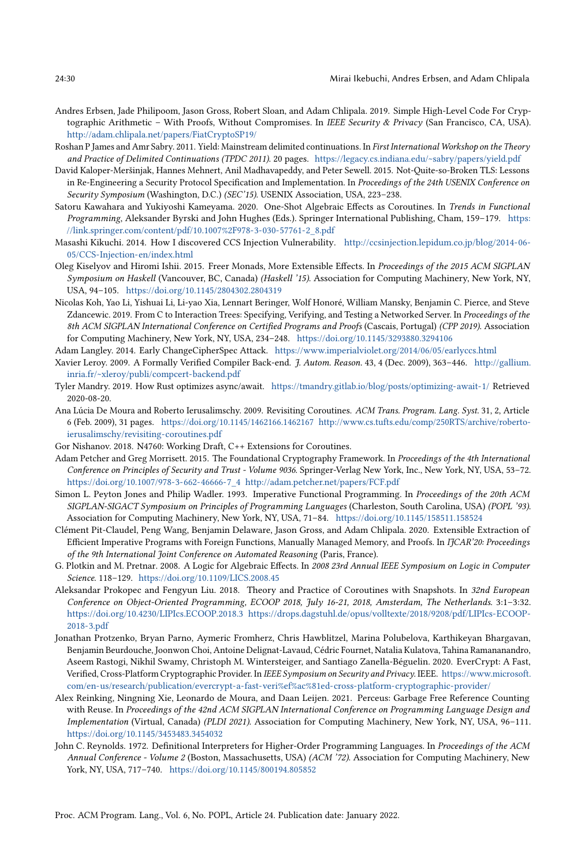- <span id="page-29-7"></span>Andres Erbsen, Jade Philipoom, Jason Gross, Robert Sloan, and Adam Chlipala. 2019. Simple High-Level Code For Cryptographic Arithmetic - With Proofs, Without Compromises. In IEEE Security & Privacy (San Francisco, CA, USA). <http://adam.chlipala.net/papers/FiatCryptoSP19/>
- <span id="page-29-16"></span>Roshan P James and Amr Sabry. 2011. Yield: Mainstream delimited continuations. In First International Workshop on the Theory and Practice of Delimited Continuations (TPDC 2011). 20 pages. <https://legacy.cs.indiana.edu/~sabry/papers/yield.pdf>
- <span id="page-29-2"></span>David Kaloper-Meršinjak, Hannes Mehnert, Anil Madhavapeddy, and Peter Sewell. 2015. Not-Quite-so-Broken TLS: Lessons in Re-Engineering a Security Protocol Specification and Implementation. In Proceedings of the 24th USENIX Conference on Security Symposium (Washington, D.C.) (SEC'15). USENIX Association, USA, 223-238.
- <span id="page-29-17"></span>Satoru Kawahara and Yukiyoshi Kameyama. 2020. One-Shot Algebraic Effects as Coroutines. In Trends in Functional Programming, Aleksander Byrski and John Hughes (Eds.). Springer International Publishing, Cham, 159-179. [https:](https://link.springer.com/content/pdf/10.1007%2F978-3-030-57761-2_8.pdf) [//link.springer.com/content/pdf/10.1007%2F978-3-030-57761-2\\_8.pdf](https://link.springer.com/content/pdf/10.1007%2F978-3-030-57761-2_8.pdf)
- <span id="page-29-4"></span>Masashi Kikuchi. 2014. How I discovered CCS Injection Vulnerability. [http://ccsinjection.lepidum.co.jp/blog/2014-06-](http://ccsinjection.lepidum.co.jp/blog/2014-06-05/CCS-Injection-en/index.html) [05/CCS-Injection-en/index.html](http://ccsinjection.lepidum.co.jp/blog/2014-06-05/CCS-Injection-en/index.html)
- <span id="page-29-1"></span>Oleg Kiselyov and Hiromi Ishii. 2015. Freer Monads, More Extensible Effects. In Proceedings of the 2015 ACM SIGPLAN Symposium on Haskell (Vancouver, BC, Canada) (Haskell '15). Association for Computing Machinery, New York, NY, USA, 94-105. <https://doi.org/10.1145/2804302.2804319>
- <span id="page-29-11"></span>Nicolas Koh, Yao Li, Yishuai Li, Li-yao Xia, Lennart Beringer, Wolf Honoré, William Mansky, Benjamin C. Pierce, and Steve Zdancewic. 2019. From C to Interaction Trees: Specifying, Verifying, and Testing a Networked Server. In Proceedings of the 8th ACM SIGPLAN International Conference on Certified Programs and Proofs (Cascais, Portugal) (CPP 2019). Association for Computing Machinery, New York, NY, USA, 234-248. <https://doi.org/10.1145/3293880.3294106>
- <span id="page-29-3"></span>Adam Langley. 2014. Early ChangeCipherSpec Attack. <https://www.imperialviolet.org/2014/06/05/earlyccs.html>
- <span id="page-29-8"></span>Xavier Leroy. 2009. A Formally Verified Compiler Back-end. J. Autom. Reason. 43, 4 (Dec. 2009), 363-446. [http://gallium.](http://gallium.inria.fr/~xleroy/publi/compcert-backend.pdf) [inria.fr/~xleroy/publi/compcert-backend.pdf](http://gallium.inria.fr/~xleroy/publi/compcert-backend.pdf)
- <span id="page-29-13"></span>Tyler Mandry. 2019. How Rust optimizes async/await. <https://tmandry.gitlab.io/blog/posts/optimizing-await-1/> Retrieved 2020-08-20.
- <span id="page-29-18"></span>Ana Lúcia De Moura and Roberto Ierusalimschy. 2009. Revisiting Coroutines. ACM Trans. Program. Lang. Syst. 31, 2, Article 6 (Feb. 2009), 31 pages. <https://doi.org/10.1145/1462166.1462167> [http://www.cs.tufts.edu/comp/250RTS/archive/roberto](http://www.cs.tufts.edu/comp/250RTS/archive/roberto-ierusalimschy/revisiting-coroutines.pdf)[ierusalimschy/revisiting-coroutines.pdf](http://www.cs.tufts.edu/comp/250RTS/archive/roberto-ierusalimschy/revisiting-coroutines.pdf)
- <span id="page-29-15"></span>Gor Nishanov. 2018. N4760: Working Draft, C++ Extensions for Coroutines.
- <span id="page-29-6"></span>Adam Petcher and Greg Morrisett. 2015. The Foundational Cryptography Framework. In Proceedings of the 4th International Conference on Principles of Security and Trust - Volume 9036. Springer-Verlag New York, Inc., New York, NY, USA, 53-72. [https://doi.org/10.1007/978-3-662-46666-7\\_4](https://doi.org/10.1007/978-3-662-46666-7_4)<http://adam.petcher.net/papers/FCF.pdf>
- <span id="page-29-12"></span>Simon L. Peyton Jones and Philip Wadler. 1993. Imperative Functional Programming. In Proceedings of the 20th ACM SIGPLAN-SIGACT Symposium on Principles of Programming Languages (Charleston, South Carolina, USA) (POPL '93). Association for Computing Machinery, New York, NY, USA, 71-84. <https://doi.org/10.1145/158511.158524>
- <span id="page-29-9"></span>Clément Pit-Claudel, Peng Wang, Benjamin Delaware, Jason Gross, and Adam Chlipala. 2020. Extensible Extraction of Efficient Imperative Programs with Foreign Functions, Manually Managed Memory, and Proofs. In IJCAR'20: Proceedings of the 9th International Joint Conference on Automated Reasoning (Paris, France).
- <span id="page-29-0"></span>G. Plotkin and M. Pretnar. 2008. A Logic for Algebraic Effects. In 2008 23rd Annual IEEE Symposium on Logic in Computer Science. 118-129. <https://doi.org/10.1109/LICS.2008.45>
- <span id="page-29-14"></span>Aleksandar Prokopec and Fengyun Liu. 2018. Theory and Practice of Coroutines with Snapshots. In 32nd European Conference on Object-Oriented Programming, ECOOP 2018, July 16-21, 2018, Amsterdam, The Netherlands. 3:1-3:32. <https://doi.org/10.4230/LIPIcs.ECOOP.2018.3> [https://drops.dagstuhl.de/opus/volltexte/2018/9208/pdf/LIPIcs-ECOOP-](https://drops.dagstuhl.de/opus/volltexte/2018/9208/pdf/LIPIcs-ECOOP-2018-3.pdf)[2018-3.pdf](https://drops.dagstuhl.de/opus/volltexte/2018/9208/pdf/LIPIcs-ECOOP-2018-3.pdf)
- <span id="page-29-5"></span>Jonathan Protzenko, Bryan Parno, Aymeric Fromherz, Chris Hawblitzel, Marina Polubelova, Karthikeyan Bhargavan, Benjamin Beurdouche, Joonwon Choi, Antoine Delignat-Lavaud, Cédric Fournet, Natalia Kulatova, Tahina Ramananandro, Aseem Rastogi, Nikhil Swamy, Christoph M. Wintersteiger, and Santiago Zanella-Béguelin. 2020. EverCrypt: A Fast, Verified, Cross-Platform Cryptographic Provider. In IEEE Symposium on Security and Privacy. IEEE. [https://www.microsoft.](https://www.microsoft.com/en-us/research/publication/evercrypt-a-fast-veri%ef%ac%81ed-cross-platform-cryptographic-provider/) [com/en-us/research/publication/evercrypt-a-fast-veri%ef%ac%81ed-cross-platform-cryptographic-provider/](https://www.microsoft.com/en-us/research/publication/evercrypt-a-fast-veri%ef%ac%81ed-cross-platform-cryptographic-provider/)
- <span id="page-29-19"></span>Alex Reinking, Ningning Xie, Leonardo de Moura, and Daan Leijen. 2021. Perceus: Garbage Free Reference Counting with Reuse. In Proceedings of the 42nd ACM SIGPLAN International Conference on Programming Language Design and Implementation (Virtual, Canada) (PLDI 2021). Association for Computing Machinery, New York, NY, USA, 96-111. <https://doi.org/10.1145/3453483.3454032>
- <span id="page-29-10"></span>John C. Reynolds. 1972. Definitional Interpreters for Higher-Order Programming Languages. In Proceedings of the ACM Annual Conference - Volume 2 (Boston, Massachusetts, USA) (ACM '72). Association for Computing Machinery, New York, NY, USA, 717-740. <https://doi.org/10.1145/800194.805852>